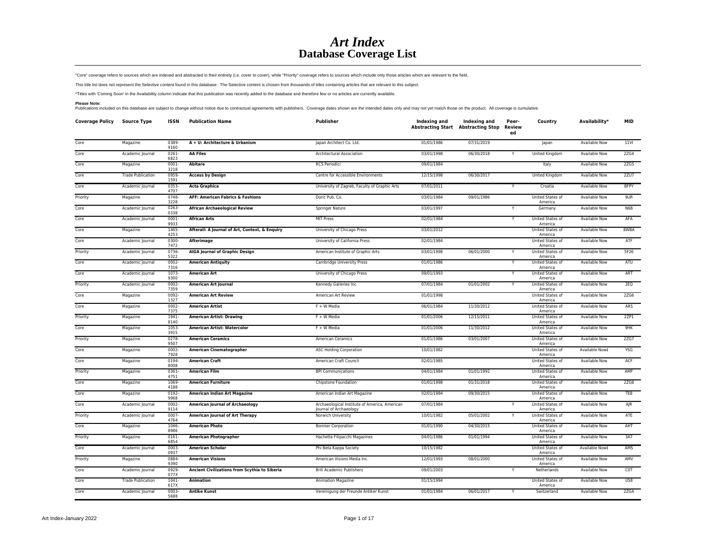## *Art Index* **Database Coverage List**

"Core" coverage refers to sources which are indexed and abstracted in their entirety (i.e. cover to cover), while "Priority" coverage refers to sources which include only those articles which are relevant to the field.

This title list does not represent the Selective content found in this database. The Selective content is chosen from thousands of titles containing articles that are relevant to this subject.

\*Titles with 'Coming Soon' in the Availability column indicate that this publication was recently added to the database and therefore few or no articles are currently available.

Please Note:<br>Publications included on this database are subject to change without notice due to contractual agreements with publishers. Coverage dates shown are the intended dates only and may not yet match those on the pr

| <b>Coverage Policy</b> | <b>Source Type</b>       | <b>ISSN</b>      | <b>Publication Name</b>                        | Publisher                                                               | Indexing and | Indexing and<br><b>Abstracting Start Abstracting Stop</b> | Peer-<br>Review<br>ed | Country                            | Availability*        | <b>MID</b>  |
|------------------------|--------------------------|------------------|------------------------------------------------|-------------------------------------------------------------------------|--------------|-----------------------------------------------------------|-----------------------|------------------------------------|----------------------|-------------|
| Core                   | Magazine                 | 0389<br>9160     | A + U: Architecture & Urbanism                 | Japan Architect Co. Ltd.                                                | 01/01/1986   | 07/31/2019                                                |                       | Japan                              | Available Now        | <b>11VI</b> |
| Core                   | Academic Journal         | $0261 -$<br>6823 | <b>AA Files</b>                                | Architectural Association                                               | 03/01/1998   | 06/30/2018                                                | Υ                     | United Kingdom                     | <b>Available Now</b> | 2ZG4        |
| Core                   | Magazine                 | $0001 -$<br>3218 | <b>Abitare</b>                                 | <b>RCS Periodici</b>                                                    | 09/01/1984   |                                                           |                       | Italy                              | <b>Available Now</b> | 2ZG5        |
| Core                   | <b>Trade Publication</b> | 0959<br>1591     | <b>Access by Design</b>                        | Centre for Accessible Environments                                      | 12/15/1998   | 06/30/2017                                                |                       | <b>United Kingdom</b>              | Available Now        | 2ZU7        |
| Core                   | Academic Journal         | 0353<br>4707     | <b>Acta Graphica</b>                           | University of Zagreb, Faculty of Graphic Arts                           | 07/01/2011   |                                                           | Y                     | Croatia                            | Available Now        | <b>BFPY</b> |
| Priority               | Magazine                 | 0748-<br>3228    | <b>AFF: American Fabrics &amp; Fashions</b>    | Doric Pub. Co.                                                          | 03/01/1984   | 09/01/1986                                                |                       | United States of<br>America        | Available Now        | 9UR         |
| Core                   | Academic Journal         | 0263-<br>0338    | <b>African Archaeological Review</b>           | Springer Nature                                                         | 03/01/1997   |                                                           |                       | Germany                            | Available Now        | N6B         |
| Core                   | Academic Journal         | 0001-<br>9933    | <b>African Arts</b>                            | <b>MIT Press</b>                                                        | 02/01/1984   |                                                           | Υ                     | United States of<br>America        | Available Now        | AFA         |
| Core                   | Magazine                 | 1465<br>4253     | Afterall: A Journal of Art, Context, & Enquiry | University of Chicago Press                                             | 03/01/2012   |                                                           |                       | United States of<br>America        | Available Now        | 8WBA        |
| Core                   | Academic Journal         | 0300-<br>7472    | Afterimage                                     | University of California Press                                          | 02/01/1984   |                                                           |                       | United States of<br>America        | Available Now        | ATF         |
| Priority               | Academic Journal         | 0736-<br>5322    | <b>AIGA Journal of Graphic Design</b>          | American Institute of Graphic Arts                                      | 03/01/1998   | 06/01/2000                                                | Y                     | United States of<br>America        | Available Now        | 5F26        |
| Core                   | Academic Journal         | $0002 -$<br>7316 | <b>American Antiquity</b>                      | Cambridge University Press                                              | 01/01/1986   |                                                           | Y                     | United States of<br>America        | Available Now        | ATU         |
| Core                   | Academic Journal         | 1073-<br>9300    | <b>American Art</b>                            | University of Chicago Press                                             | 09/01/1993   |                                                           | Y                     | United States of<br>America        | Available Now        | ART         |
| Priority               | Academic Journal         | $0002 -$<br>7359 | <b>American Art Journal</b>                    | Kennedy Galleries Inc                                                   | 07/01/1984   | 01/01/2002                                                |                       | United States of<br>America        | Available Now        | 2EQ         |
| Core                   | Magazine                 | $0092 -$<br>1327 | <b>American Art Review</b>                     | American Art Review                                                     | 01/01/1998   |                                                           |                       | United States of<br>America        | <b>Available Now</b> | <b>2ZG6</b> |
| Core                   | Magazine                 | 0002-<br>7375    | <b>American Artist</b>                         | F + W Media                                                             | 06/01/1984   | 11/30/2012                                                |                       | United States of<br>America        | Available Now        | ARS         |
| Priority               | Magazine                 | 1941-<br>8140    | <b>American Artist: Drawing</b>                | F + W Media                                                             | 01/01/2006   | 12/15/2011                                                |                       | United States of<br>America        | Available Now        | 2ZPI        |
| Core                   | Magazine                 | 1053-<br>3915    | <b>American Artist: Watercolor</b>             | F + W Media                                                             | 01/01/2006   | 11/30/2012                                                |                       | United States of<br>America        | Available Now        | 9HK         |
| Priority               | Magazine                 | 0278-<br>9507    | <b>American Ceramics</b>                       | American Ceramics                                                       | 01/01/1986   | 03/01/2007                                                |                       | United States of<br>America        | Available Now        | 2ZG7        |
| Core                   | Magazine                 | 0002-<br>7928    | <b>American Cinematographer</b>                | <b>ASC Holding Corporation</b>                                          | 10/01/1982   |                                                           |                       | United States of<br>America        | Available Now‡       | <b>YSG</b>  |
| Core                   | Magazine                 | 0194<br>8008     | <b>American Craft</b>                          | American Craft Council                                                  | 02/01/1985   |                                                           |                       | United States of<br>America        | Available Now        | ACF         |
| Priority               | Magazine                 | 0361-<br>4751    | <b>American Film</b>                           | <b>BPI Communications</b>                                               | 04/01/1984   | 01/01/1992                                                |                       | <b>United States of</b><br>America | <b>Available Now</b> | AMF         |
| Core                   | Magazine                 | 1069<br>4188     | <b>American Furniture</b>                      | Chipstone Foundation                                                    | 01/01/1998   | 01/31/2018                                                |                       | United States of<br>America        | <b>Available Now</b> | 2ZG8        |
| Core                   | Magazine                 | 0192-<br>9968    | American Indian Art Magazine                   | American Indian Art Magazine                                            | 02/01/1984   | 09/30/2015                                                |                       | <b>United States of</b><br>America | <b>Available Now</b> | TE8         |
| Core                   | Academic Journal         | $0002 -$<br>9114 | <b>American Journal of Archaeology</b>         | Archaeological Institute of America, American<br>Journal of Archaeology | 07/01/1984   |                                                           |                       | United States of<br>America        | <b>Available Now</b> | AJR         |
| Priority               | Academic Journal         | 0007-<br>4764    | <b>American Journal of Art Therapy</b>         | Norwich University                                                      | 10/01/1982   | 05/01/2002                                                |                       | United States of<br>America        | <b>Available Now</b> | ATE         |
| Core                   | Magazine                 | 1046<br>8986     | <b>American Photo</b>                          | <b>Bonnier Corporation</b>                                              | 01/01/1990   | 04/30/2015                                                |                       | United States of<br>America        | Available Now        | AHT         |
| Priority               | Magazine                 | $0161 -$<br>6854 | <b>American Photographer</b>                   | Hachette Filipacchi Magazines                                           | 04/01/1986   | 01/01/1994                                                |                       | United States of<br>America        | Available Now        | 3A7         |
| Core                   | Academic Journal         | 0003-<br>0937    | <b>American Scholar</b>                        | Phi Beta Kappa Society                                                  | 10/15/1982   |                                                           |                       | United States of<br>America        | Available Now‡       | AMS         |
| Priority               | Magazine                 | 0884<br>9390     | <b>American Visions</b>                        | American Visions Media Inc.                                             | 12/01/1993   | 08/01/2000                                                |                       | United States of<br>America        | Available Now        | AMV         |
| Core                   | Academic Journal         | 0929<br>077X     | Ancient Civilizations from Scythia to Siberia  | <b>Brill Academic Publishers</b>                                        | 09/01/2003   |                                                           | Y                     | Netherlands                        | Available Now        | COT         |
| Core                   | <b>Trade Publication</b> | $1041 -$<br>617X | <b>Animation</b>                               | Animation Magazine                                                      | 01/15/1994   |                                                           |                       | United States of<br>America        | Available Now        | U58         |
| Core                   | Academic Journal         | 0003-<br>5688    | <b>Antike Kunst</b>                            | Vereinigung der Freunde Antiker Kunst                                   | 01/01/1984   | 06/01/2017                                                |                       | Switzerland                        | Available Now        | 2ZGA        |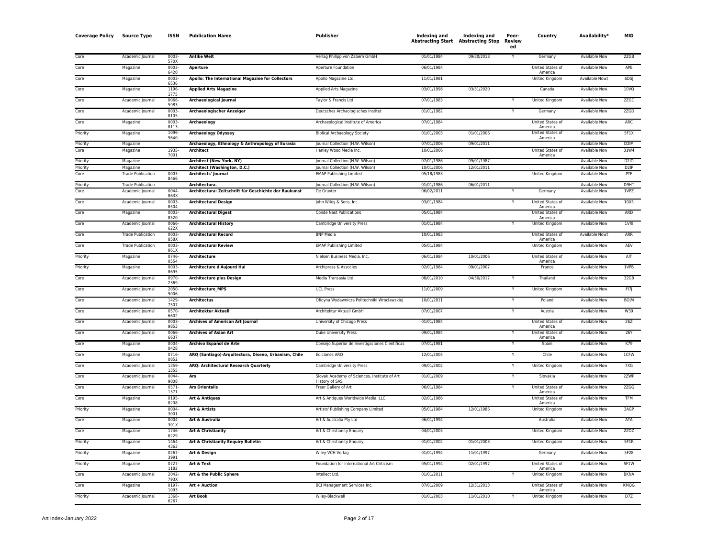| <b>Coverage Policy</b> | <b>Source Type</b>       | <b>ISSN</b>      | <b>Publication Name</b>                               | Publisher                                                      | Indexing and<br><b>Abstracting Start Abstracting Stop</b> | <b>Indexing and</b> | Peer-<br>Review<br>ed | Country                            | Availability*        | <b>MID</b>        |
|------------------------|--------------------------|------------------|-------------------------------------------------------|----------------------------------------------------------------|-----------------------------------------------------------|---------------------|-----------------------|------------------------------------|----------------------|-------------------|
| Core                   | Academic Journal         | 0003<br>570X     | <b>Antike Welt</b>                                    | Verlag Philipp von Zabern GmbH                                 | 01/01/1984                                                | 09/30/2018          |                       | Germany                            | Available Now        | 2ZGB              |
| Core                   | Magazine                 | 0003<br>6420     | Aperture                                              | Aperture Foundation                                            | 06/01/1984                                                |                     |                       | United States of<br>America        | Available Now        | APF               |
| Core                   | Magazine                 | $0003 -$<br>6536 | Apollo: The International Magazine for Collectors     | Apollo Magazine Ltd.                                           | 11/01/1981                                                |                     |                       | United Kingdom                     | Available Now‡       | 6DSJ              |
| Core                   | Magazine                 | 1196<br>1775     | <b>Applied Arts Magazine</b>                          | Applied Arts Magazine                                          | 03/01/1998                                                | 03/31/2020          |                       | Canada                             | Available Now        | 10VQ              |
| Core                   | Academic Journal         | 0066<br>5983     | <b>Archaeological Journal</b>                         | Taylor & Francis Ltd                                           | 07/01/1983                                                |                     |                       | <b>United Kingdom</b>              | <b>Available Now</b> | 2ZGC              |
| Core                   | Academic Journal         | 0003<br>8105     | <b>Archaeologischer Anzeiger</b>                      | Deutsches Archaologisches Institut                             | 01/01/1982                                                |                     |                       | Germany                            | Available Now        | 2ZGD              |
| Core                   | Magazine                 | 0003<br>8113     | <b>Archaeology</b>                                    | Archaeological Institute of America                            | 07/01/1984                                                |                     |                       | United States of<br>America        | Available Now        | ARC               |
| Priority               | Magazine                 | 1096<br>9640     | <b>Archaeology Odyssey</b>                            | <b>Biblical Archaeology Society</b>                            | 01/01/2003                                                | 01/01/2006          |                       | <b>United States of</b><br>America | <b>Available Now</b> | 5F1X              |
| Priority               | Magazine                 |                  | Archaeology, Ethnology & Anthropology of Eurasia      | Journal Collection (H.W. Wilson)                               | 07/01/2006                                                | 09/01/2011          |                       |                                    | Available Now        | D <sub>2</sub> IM |
| Core                   | Magazine                 | 1935<br>7001     | <b>Architect</b>                                      | Hanley Wood Media Inc.                                         | 10/01/2006                                                |                     |                       | United States of<br>America        | <b>Available Now</b> | 31W4              |
| Priority               | Magazine                 |                  | <b>Architect (New York, NY)</b>                       | Journal Collection (H.W. Wilson)                               | 07/01/1986                                                | 09/01/1987          |                       |                                    | <b>Available Now</b> | D2I0              |
| Priority               | Magazine                 |                  | Architect (Washington, D.C.)                          | Journal Collection (H.W. Wilson)                               | 10/01/2006                                                | 12/01/2011          |                       |                                    | <b>Available Now</b> | D <sub>2</sub> IP |
| Core                   | <b>Trade Publication</b> | 0003<br>8466     | <b>Architects' Journal</b>                            | <b>EMAP Publishing Limited</b>                                 | 05/18/1983                                                |                     |                       | United Kingdom                     | Available Now        | PTF               |
| Priority               | <b>Trade Publication</b> |                  | Architectura.                                         | Journal Collection (H.W. Wilson)                               | 01/01/1986                                                | 06/01/2011          |                       |                                    | <b>Available Now</b> | D9HT              |
| Core                   | Academic Journal         | 0044<br>863X     | Architectura: Zeitschrift für Geschichte der Baukunst | De Gruyter                                                     | 06/02/2011                                                |                     |                       | Germany                            | <b>Available Now</b> | 1VPZ              |
| Core                   | Academic Journal         | 0003<br>8504     | <b>Architectural Design</b>                           | John Wiley & Sons, Inc.                                        | 03/01/1984                                                |                     | Y                     | <b>United States of</b><br>America | <b>Available Now</b> | 10 <sub>X</sub> 5 |
| Core                   | Magazine                 | 0003<br>8520     | <b>Architectural Digest</b>                           | <b>Conde Nast Publications</b>                                 | 05/01/1984                                                |                     |                       | United States of<br>America        | <b>Available Now</b> | ARD               |
| Core                   | Academic Journal         | 0066<br>622X     | <b>Architectural History</b>                          | Cambridge University Press                                     | 01/01/1984                                                |                     |                       | United Kingdom                     | Available Now        | 1VRI              |
| Core                   | <b>Trade Publication</b> | 0003<br>858X     | <b>Architectural Record</b>                           | <b>BNP Media</b>                                               | 10/01/1983                                                |                     |                       | United States of<br>America        | Available Now‡       | ARR               |
| Core                   | <b>Trade Publication</b> | 0003<br>861X     | <b>Architectural Review</b>                           | <b>EMAP Publishing Limited</b>                                 | 05/01/1984                                                |                     |                       | <b>United Kingdom</b>              | <b>Available Now</b> | AEV               |
| Priority               | Magazine                 | 0746<br>0554     | <b>Architecture</b>                                   | Nielsen Business Media, Inc.                                   | 06/01/1984                                                | 10/01/2006          |                       | United States of<br>America        | Available Now        | AIT               |
| Priority               | Magazine                 | 0003<br>8695     | Architecture d'Aujourd Hui                            | Archipress & Associes                                          | 02/01/1984                                                | 09/01/2007          |                       | France                             | Available Now        | 1VPB              |
| Core                   | Academic Journal         | 0970-<br>2369    | <b>Architecture plus Design</b>                       | Media Transasia Ltd.                                           | 08/01/2010                                                | 04/30/2017          |                       | Thailand                           | <b>Available Now</b> | 32G8              |
| Core                   | Academic Journal         | 2050<br>9006     | <b>Architecture MPS</b>                               | <b>UCL Press</b>                                               | 11/01/2009                                                |                     |                       | United Kingdom                     | <b>Available Now</b> | FI7               |
| Core                   | Academic Journal         | 1429<br>7507     | <b>Architectus</b>                                    | Oficyna Wydawnicza Politechniki Wroclawskiej                   | 10/01/2011                                                |                     |                       | Poland                             | <b>Available Now</b> | <b>BOJM</b>       |
| Core                   | Academic Journal         | 0570<br>6602     | <b>Architektur Aktuell</b>                            | Architektur Aktuell GmbH                                       | 07/01/2007                                                |                     | Y                     | Austria                            | Available Now        | W39               |
| Core                   | Academic lournal         | 0003<br>9853     | <b>Archives of American Art Journal</b>               | University of Chicago Press                                    | 01/01/1984                                                |                     |                       | United States of<br>America        | <b>Available Now</b> | 26Z               |
| Core                   | Academic Journal         | 0066<br>6637     | <b>Archives of Asian Art</b>                          | Duke University Press                                          | 09/01/1984                                                |                     |                       | United States of<br>America        | <b>Available Now</b> | 26Y               |
| Core                   | Magazine                 | 0004<br>0428     | Archivo Español de Arte                               | Consejo Superior de Investigaciones Cientificas                | 07/01/1981                                                |                     |                       | Spain                              | Available Now        | K79               |
| Core                   | Magazine                 | $0716 -$<br>0852 | ARQ (Santiago)-Arquitectura, Diseno, Urbanism, Chile  | <b>Ediciones ARQ</b>                                           | 12/01/2005                                                |                     | Y                     | Chile                              | <b>Available Now</b> | 1CFW              |
| Core                   | Academic Journal         | 1359<br>1355     | ARQ: Architectural Research Quarterly                 | Cambridge University Press                                     | 09/01/2002                                                |                     |                       | <b>United Kingdom</b>              | <b>Available Now</b> | 7XG               |
| Core                   | Academic Journal         | 0044<br>9008     | Ars                                                   | Slovak Academy of Sciences, Institute of Art<br>History of SAS | 01/01/2009                                                |                     | Ÿ                     | Slovakia                           | Available Now        | 2ZWP              |
| Core                   | Academic Journal         | 0571<br>1371     | <b>Ars Orientalis</b>                                 | Freer Gallery of Art                                           | 06/01/1984                                                |                     |                       | <b>United States of</b><br>America | Available Now        | 2ZGG              |
| Core                   | Magazine                 | 0195<br>8208     | <b>Art &amp; Antiques</b>                             | Art & Antiques Worldwide Media, LLC                            | 02/01/1986                                                |                     |                       | United States of<br>America        | <b>Available Now</b> | <b>TFM</b>        |
| Priority               | Magazine                 | 0004<br>3001     | <b>Art &amp; Artists</b>                              | Artists' Publishing Company Limited                            | 05/01/1984                                                | 12/01/1986          |                       | <b>United Kingdom</b>              | <b>Available Now</b> | 3AGP              |
| Core                   | Magazine                 | 0004<br>301X     | Art & Australia                                       | Art & Australia Pty Ltd                                        | 06/01/1994                                                |                     |                       | Australia                          | <b>Available Now</b> | ATA               |
| Core                   | Magazine                 | 1746<br>6229     | Art & Christianity                                    | Art & Christianity Enquiry                                     | 04/01/2003                                                |                     |                       | United Kingdom                     | Available Now        | 2ZOZ              |
| Priority               | Magazine                 | 1464<br>4363     | Art & Christianity Enquiry Bulletin                   | Art & Christianity Enquiry                                     | 01/01/2002                                                | 01/01/2003          |                       | United Kingdom                     | Available Now        | 5F1R              |
| Priority               | Magazine                 | 0267<br>3991     | Art & Design                                          | Wiley-VCH Verlag                                               | 01/01/1994                                                | 11/01/1997          |                       | Germany                            | Available Now        | 5F28              |
| Priority               | Magazine                 | 0727-<br>1182    | Art & Text                                            | Foundation for International Art Criticism                     | 05/01/1994                                                | 02/01/1997          |                       | United States of<br>America        | Available Now        | 5F1W              |
| Core                   | Academic Journal         | 2042<br>793X     | Art & the Public Sphere                               | Intellect Ltd.                                                 | 01/01/2011                                                |                     |                       | United Kingdom                     | Available Now        | <b>BKNA</b>       |
| Core                   | Magazine                 | 0197<br>1093     | <b>Art + Auction</b>                                  | <b>BCI Management Services Inc.</b>                            | 07/01/2009                                                | 12/31/2013          |                       | United States of<br>America        | <b>Available Now</b> | KMQG              |
| Priority               | Academic Journal         | 1368<br>6267     | <b>Art Book</b>                                       | Wiley-Blackwell                                                | 01/01/2003                                                | 11/01/2010          |                       | <b>United Kingdom</b>              | <b>Available Now</b> | D7Z               |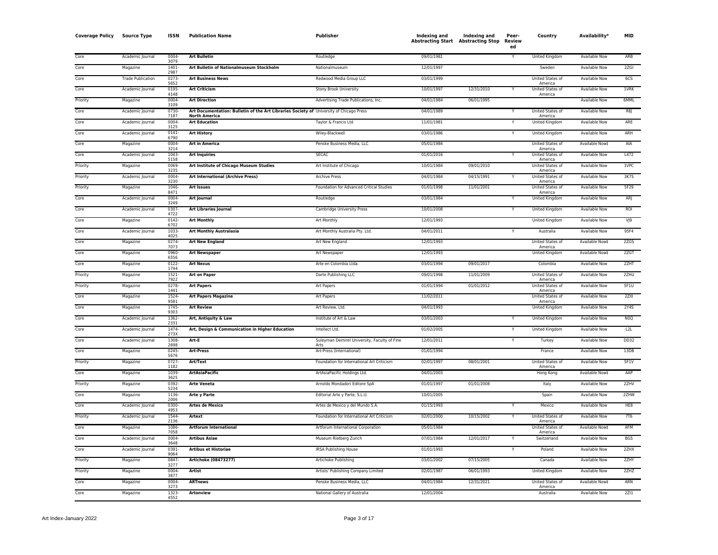| <b>Coverage Policy</b> | <b>Source Type</b>       | <b>ISSN</b>      | <b>Publication Name</b>                                                                                         | Publisher                                            | <b>Indexing and</b> | Indexing and<br><b>Abstracting Start Abstracting Stop</b> | Peer-<br>Review<br>ed | Country                            | Availability <sup>*</sup> | MID             |
|------------------------|--------------------------|------------------|-----------------------------------------------------------------------------------------------------------------|------------------------------------------------------|---------------------|-----------------------------------------------------------|-----------------------|------------------------------------|---------------------------|-----------------|
| Core                   | Academic Journal         | 0004<br>3079     | <b>Art Bulletin</b>                                                                                             | Routledge                                            | 09/01/1981          |                                                           |                       | United Kingdom                     | <b>Available Now</b>      | ARB             |
| Core                   | Magazine                 | 1401<br>2987     | Art Bulletin of Nationalmuseum Stockholm                                                                        | Nationalmuseum                                       | 12/01/1997          |                                                           |                       | Sweden                             | <b>Available Now</b>      | 2ZGI            |
| Core                   | <b>Trade Publication</b> | 0273<br>5652     | <b>Art Business News</b>                                                                                        | Redwood Media Group LLC                              | 03/01/1999          |                                                           |                       | United States of<br>America        | <b>Available Now</b>      | 6C5             |
| Core                   | Academic Journal         | 0195<br>4148     | <b>Art Criticism</b>                                                                                            | Stony Brook University                               | 10/01/1997          | 12/31/2010                                                |                       | <b>United States of</b><br>America | <b>Available Now</b>      | 1VRK            |
| Priority               | Magazine                 | 0004<br>3109     | <b>Art Direction</b>                                                                                            | Advertising Trade Publications, Inc.                 | 04/01/1984          | 06/01/1995                                                |                       |                                    | <b>Available Now</b>      | 6MML            |
| Core                   | Academic Journal         | 0730<br>7187     | Art Documentation: Bulletin of the Art Libraries Society of University of Chicago Press<br><b>North America</b> |                                                      | 04/01/1989          |                                                           |                       | United States of<br>America        | <b>Available Now</b>      | R8J             |
| Core                   | Academic Journal         | 0004<br>3125     | <b>Art Education</b>                                                                                            | Taylor & Francis Ltd                                 | 11/01/1981          |                                                           |                       | <b>United Kingdom</b>              | <b>Available Now</b>      | ARE             |
| Core                   | Academic Journal         | $0141 -$<br>6790 | <b>Art History</b>                                                                                              | Wiley-Blackwell                                      | 03/01/1986          |                                                           | Υ                     | United Kingdom                     | <b>Available Now</b>      | ARH             |
| Core                   | Magazine                 | 0004<br>3214     | <b>Art in America</b>                                                                                           | Penske Business Media, LLC                           | 05/01/1984          |                                                           |                       | United States of<br>America        | Available Now‡            | AIA             |
| Core                   | Academic Journal         | 1043<br>5158     | <b>Art Inquiries</b>                                                                                            | <b>SECAC</b>                                         | 01/01/2016          |                                                           | Y                     | United States of<br>America        | <b>Available Now</b>      | L472            |
| Priority               | Magazine                 | 0069<br>3235     | Art Institute of Chicago Museum Studies                                                                         | Art Institute of Chicago                             | 10/01/1984          | 09/01/2010                                                |                       | United States of<br>America        | Available Now             | <b>IVPC</b>     |
| Priority               | Academic Journal         | 0004<br>3230     | <b>Art International (Archive Press)</b>                                                                        | <b>Archive Press</b>                                 | 04/01/1984          | 04/15/1991                                                |                       | United States of<br>America        | <b>Available Now</b>      | 3K75            |
| Priority               | Magazine                 | 1046<br>8471     | <b>Art Issues</b>                                                                                               | Foundation for Advanced Critical Studies             | 01/01/1998          | 11/01/2001                                                |                       | United States of<br>America        | <b>Available Now</b>      | 5F29            |
| Core                   | Academic Journal         | 0004<br>3249     | <b>Art Journal</b>                                                                                              | Routledge                                            | 03/01/1984          |                                                           | Υ                     | <b>United Kingdom</b>              | <b>Available Now</b>      | ARJ             |
| Core                   | Academic Journal         | 0307<br>4722     | <b>Art Libraries Journal</b>                                                                                    | <b>Cambridge University Press</b>                    | 10/01/2008          |                                                           |                       | <b>United Kingdom</b>              | <b>Available Now</b>      | ROI             |
| Core                   | Magazine                 | 0142<br>6702     | <b>Art Monthly</b>                                                                                              | <b>Art Monthly</b>                                   | 12/01/1993          |                                                           |                       | <b>United Kingdom</b>              | <b>Available Now</b>      | $V$ ]9          |
| Core                   | Academic Journal         | 1033<br>4025     | <b>Art Monthly Australasia</b>                                                                                  | Art Monthly Australia Pty. Ltd.                      | 04/01/2011          |                                                           | Y                     | Australia                          | <b>Available Now</b>      | 95F4            |
| Core                   | Magazine                 | $0274 -$<br>7073 | <b>Art New England</b>                                                                                          | Art New England                                      | 12/01/1993          |                                                           |                       | United States of<br>America        | Available Now‡            | 2ZGS            |
| Core                   | Magazine                 | 0960<br>6556     | <b>Art Newspaper</b>                                                                                            | Art Newspaper                                        | 12/01/1993          |                                                           |                       | <b>United Kingdom</b>              | Available Now‡            | 2ZGT            |
| Core                   | Magazine                 | $0122 -$<br>1744 | <b>Art Nexus</b>                                                                                                | Arte en Colombia Ltda.                               | 03/01/1994          | 09/01/2017                                                |                       | Colombia                           | <b>Available Now</b>      | 2ZHT            |
| Priority               | Magazine                 | 1521<br>7922     | <b>Art on Paper</b>                                                                                             | Darte Publishing LLC                                 | 09/01/1998          | 11/01/2009                                                |                       | United States of<br>America        | <b>Available Now</b>      | 2ZHU            |
| Priority               | Magazine                 | 0278<br>1441     | <b>Art Papers</b>                                                                                               | Art Papers                                           | 01/01/1994          | 01/01/2012                                                |                       | United States of<br>America        | <b>Available Now</b>      | 5F1U            |
| Core                   | Magazine                 | 1524<br>9581     | <b>Art Papers Magazine</b>                                                                                      | Art Papers                                           | 11/02/2011          |                                                           |                       | United States of<br>America        | <b>Available Now</b>      | <b>2ZIO</b>     |
| Core                   | Magazine                 | 1745<br>9303     | <b>Art Review</b>                                                                                               | Art Review, Ltd.                                     | 04/01/1993          |                                                           |                       | <b>United Kingdom</b>              | Available Now             | <b>2Y4S</b>     |
| Core                   | Academic Journal         | 1362<br>2331     | Art, Antiquity & Law                                                                                            | Institute of Art & Law                               | 03/01/2003          |                                                           |                       | United Kingdom                     | Available Now             | N <sub>0</sub>  |
| Core                   | Academic Journal         | 1474<br>273X     | Art, Design & Communication in Higher Education                                                                 | Intellect Ltd.                                       | 01/02/2005          |                                                           |                       | <b>United Kingdom</b>              | <b>Available Now</b>      | L2L             |
| Core                   | Academic Journal         | 1308<br>2698     | Art-E                                                                                                           | Suleyman Demirel University, Faculty of Fine<br>Arts | 12/01/2011          |                                                           |                       | Turkey                             | <b>Available Now</b>      | <b>DD32</b>     |
| Core                   | Magazine                 | 0245<br>5676     | <b>Art-Press</b>                                                                                                | Art-Press (International)                            | 01/01/1994          |                                                           |                       | France                             | <b>Available Now</b>      | 13DB            |
| Priority               | Magazine                 | 0727<br>1182     | Art/Text                                                                                                        | Foundation for International Art Criticism           | 02/01/1997          | 08/01/2001                                                |                       | United States of<br>America        | <b>Available Now</b>      | 5F1V            |
| Core                   | Magazine                 | 1039<br>3625     | <b>ArtAsiaPacific</b>                                                                                           | ArtAsiaPacific Holdings Ltd.                         | 04/01/2003          |                                                           |                       | Hong Kong                          | Available Now‡            | AAP             |
| Priority               | Magazine                 | 0392<br>5234     | <b>Arte Veneta</b>                                                                                              | Arnoldo Mondadori Editore SpA                        | 01/01/1997          | 01/01/2008                                                |                       | Italy                              | Available Now             | 2ZHV            |
| Core                   | Magazine                 | 1136-<br>2006    | Arte y Parte                                                                                                    | Editorial Arte y Parte, S.L.U.                       | 10/01/2005          |                                                           |                       | Spain                              | Available Now             | 2ZHW            |
| Core                   | Academic Journal         | 0300<br>4953     | <b>Artes de Mexico</b>                                                                                          | Artes de Mexico y del Mundo S.A.                     | 01/15/1993          |                                                           | Ÿ                     | Mexico                             | Available Now             | HE <sub>8</sub> |
| Priority               | Academic Journal         | 1544<br>2136     | Artext                                                                                                          | Foundation for International Art Criticism           | 02/01/2000          | 10/15/2002                                                | Ÿ                     | United States of<br>America        | Available Now             | <b>7T6</b>      |
| Core                   | Magazine                 | 1086<br>7058     | <b>Artforum International</b>                                                                                   | Artforum International Corporation                   | 05/01/1984          |                                                           |                       | United States of<br>America        | Available Now‡            | AFM             |
| Core                   | Academic Journal         | 0004<br>3648     | <b>Artibus Asiae</b>                                                                                            | Museum Rietberg Zurich                               | 07/01/1984          | 12/01/2017                                                |                       | Switzerland                        | Available Now             | BG5             |
| Core                   | Academic Journal         | 0391<br>9064     | <b>Artibus et Historiae</b>                                                                                     | <b>IRSA Publishing House</b>                         | 01/01/1993          |                                                           | Ÿ                     | Poland                             | <b>Available Now</b>      | 2ZHX            |
| Priority               | Magazine                 | 0847<br>3277     | <b>Artichoke (08473277)</b>                                                                                     | Artichoke Publishing                                 | 03/01/2002          | 07/15/2005                                                |                       | Canada                             | <b>Available Now</b>      | 2ZHY            |
| Priority               | Magazine                 | 0004-<br>3877    | Artist                                                                                                          | Artists' Publishing Company Limited                  | 02/01/1987          | 06/01/1993                                                |                       | <b>United Kingdom</b>              | Available Now             | 2ZHZ            |
| Core                   | Magazine                 | 0004<br>3273     | <b>ARTnews</b>                                                                                                  | Penske Business Media, LLC                           | 04/01/1984          | 12/31/2021                                                |                       | United States of<br>America        | Available Now‡            | ARN             |
| Core                   | Magazine                 | 1323<br>4552     | <b>Artonview</b>                                                                                                | National Gallery of Australia                        | 12/01/2004          |                                                           |                       | Australia                          | Available Now             | 2ZI1            |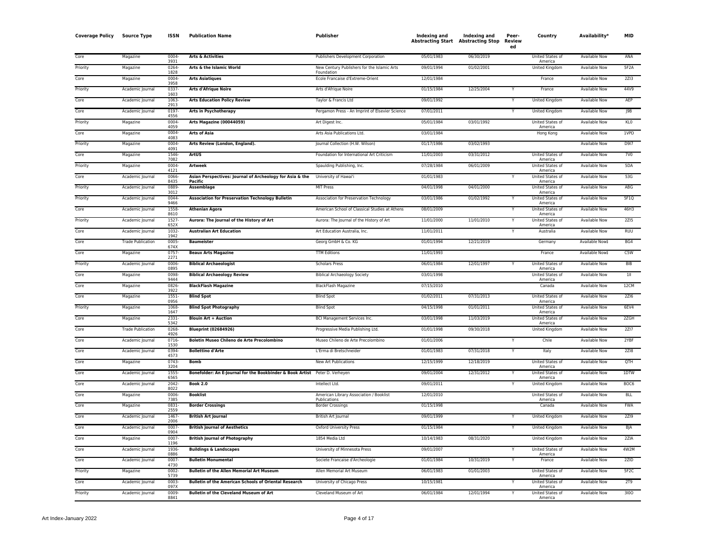| <b>Coverage Policy</b> | <b>Source Type</b>       | <b>ISSN</b>           | <b>Publication Name</b>                                                     | Publisher                                                 | Indexing and | Indexing and<br><b>Abstracting Start Abstracting Stop</b> | Peer-<br>Review<br>ed | Country                                       | Availability <sup>*</sup> | <b>MID</b>      |
|------------------------|--------------------------|-----------------------|-----------------------------------------------------------------------------|-----------------------------------------------------------|--------------|-----------------------------------------------------------|-----------------------|-----------------------------------------------|---------------------------|-----------------|
| Core                   | Magazine                 | 0004<br>3931          | <b>Arts &amp; Activities</b>                                                | Publishers Development Corporation                        | 05/01/1983   | 06/30/2019                                                |                       | <b>United States of</b><br>America            | <b>Available Now</b>      | ANA             |
| Priority               | Magazine                 | 0264<br>1828          | Arts & the Islamic World                                                    | New Century Publishers for the Islamic Arts<br>Foundation | 09/01/1994   | 01/02/2001                                                |                       | <b>United Kingdom</b>                         | <b>Available Now</b>      | 5F2A            |
| Core                   | Magazine                 | 0004<br>3958          | <b>Arts Asiatiques</b>                                                      | Ecole Francaise d'Extreme-Orient                          | 12/01/1984   |                                                           |                       | France                                        | <b>Available Now</b>      | 2Z13            |
| Priority               | Academic Journal         | 0337                  | <b>Arts d'Afrique Noire</b>                                                 | Arts d'Afrique Noire                                      | 01/15/1984   | 12/25/2004                                                |                       | France                                        | <b>Available Now</b>      | 44V9            |
| Core                   | Academic Journal         | 1603<br>1063          | <b>Arts Education Policy Review</b>                                         | Taylor & Francis Ltd                                      | 09/01/1992   |                                                           |                       | <b>United Kingdom</b>                         | <b>Available Now</b>      | AEP             |
| Core                   | Academic Journal         | 2913<br>0197<br>4556  | <b>Arts in Psychotherapy</b>                                                | Pergamon Press - An Imprint of Elsevier Science           | 07/01/2011   |                                                           |                       | United Kingdom                                | <b>Available Now</b>      | 9B              |
| Priority               | Magazine                 | 0004                  | Arts Magazine (00044059)                                                    | Art Digest Inc.                                           | 05/01/1984   | 03/01/1992                                                |                       | United States of                              | <b>Available Now</b>      | KL <sub>0</sub> |
| Core                   | Magazine                 | 4059<br>0004-<br>4083 | <b>Arts of Asia</b>                                                         | Arts Asia Publications Ltd.                               | 03/01/1984   |                                                           |                       | America<br>Hong Kong                          | Available Now             | 1VPD            |
| Priority               | Magazine                 | 0004<br>4091          | Arts Review (London, England).                                              | Journal Collection (H.W. Wilson)                          | 01/17/1986   | 03/02/1993                                                |                       |                                               | <b>Available Now</b>      | D917            |
| Core                   | Magazine                 | 1546-<br>7082         | <b>ArtUS</b>                                                                | Foundation for International Art Criticism                | 11/01/2003   | 03/31/2012                                                |                       | <b>United States of</b><br>America            | <b>Available Now</b>      | <b>7V0</b>      |
| Priority               | Magazine                 | 0004-<br>4121         | <b>Artweek</b>                                                              | Spaulding Publishing, Inc.                                | 07/28/1984   | 06/01/2009                                                |                       | United States of<br>America                   | <b>Available Now</b>      | 5DA             |
| Core                   | Academic Journal         | 0066-<br>8435         | Asian Perspectives: Journal of Archeology for Asia & the<br>Pacific         | University of Hawai'i                                     | 01/01/1983   |                                                           |                       | United States of<br>America                   | <b>Available Now</b>      | 53G             |
| Priority               | Academic Journal         | 0889<br>3012          | Assemblage                                                                  | <b>MIT Press</b>                                          | 04/01/1998   | 04/01/2000                                                |                       | United States of<br>America                   | <b>Available Now</b>      | ABG             |
| Priority               | Academic Journal         | 0044<br>9466          | <b>Association for Preservation Technology Bulletin</b>                     | Association for Preservation Technology                   | 03/01/1986   | 01/02/1992                                                |                       | United States of<br>America                   | <b>Available Now</b>      | 5F1Q            |
| Core                   | Academic Journal         | 1558<br>8610          | <b>Athenian Agora</b>                                                       | American School of Classical Studies at Athens            | 08/01/2009   |                                                           |                       | United States of                              | <b>Available Now</b>      | 46H3            |
| Priority               | Academic Journal         | 1527-<br>652X         | Aurora: The Journal of the History of Art                                   | Aurora: The Journal of the History of Art                 | 11/01/2000   | 11/01/2010                                                |                       | America<br><b>United States of</b><br>America | <b>Available Now</b>      | 2Z15            |
| Core                   | Academic Journal         | $1032 -$<br>1942      | <b>Australian Art Education</b>                                             | Art Education Australia, Inc.                             | 11/01/2011   |                                                           |                       | Australia                                     | <b>Available Now</b>      | <b>RUU</b>      |
| Core                   | <b>Trade Publication</b> | $0005 -$<br>674X      | <b>Baumeister</b>                                                           | Georg GmbH & Co. KG                                       | 01/01/1994   | 12/21/2019                                                |                       | Germany                                       | Available Now‡            | BG4             |
| Core                   | Magazine                 | 0757<br>2271          | <b>Beaux Arts Magazine</b>                                                  | <b>TTM Editions</b>                                       | 11/01/1993   |                                                           |                       | France                                        | Available Now‡            | C5W             |
| Priority               | Academic Journal         | 0006-<br>0895         | <b>Biblical Archaeologist</b>                                               | <b>Scholars Press</b>                                     | 06/01/1984   | 12/01/1997                                                |                       | United States of<br>America                   | <b>Available Now</b>      | BIB             |
| Core                   | Magazine                 | 0098<br>9444          | <b>Biblical Archaeology Review</b>                                          | <b>Biblical Archaeology Society</b>                       | 03/01/1998   |                                                           |                       | United States of<br>America                   | <b>Available Now</b>      | $\overline{1}$  |
| Core                   | Magazine                 | 0826-<br>3922         | <b>BlackFlash Magazine</b>                                                  | <b>BlackFlash Magazine</b>                                | 07/15/2010   |                                                           |                       | Canada                                        | <b>Available Now</b>      | 12CM            |
| Core                   | Magazine                 | $1551 -$<br>0956      | <b>Blind Spot</b>                                                           | <b>Blind Spot</b>                                         | 01/02/2011   | 07/31/2013                                                |                       | United States of<br>America                   | <b>Available Now</b>      | 2Z16            |
| Priority               | Magazine                 | 1068-<br>1647         | <b>Blind Spot Photography</b>                                               | <b>Blind Spot</b>                                         | 04/15/1998   | 01/01/2011                                                |                       | United States of<br>America                   | Available Now             | 6EV4            |
| Core                   | Magazine                 | 2331<br>5342          | <b>Blouin Art + Auction</b>                                                 | <b>BCI Management Services Inc.</b>                       | 03/01/1998   | 11/03/2019                                                |                       | United States of<br>America                   | <b>Available Now</b>      | 2ZGH            |
| Core                   | <b>Trade Publication</b> | 0268<br>4926          | <b>Blueprint (02684926)</b>                                                 | Progressive Media Publishing Ltd.                         | 01/01/1998   | 09/30/2018                                                |                       | <b>United Kingdom</b>                         | <b>Available Now</b>      | 2Z17            |
| Core                   | Academic Journal         | 0716<br>1530          | Boletin Museo Chileno de Arte Precolombino                                  | Museo Chileno de Arte Precolombino                        | 01/01/2006   |                                                           |                       | Chile                                         | <b>Available Now</b>      | 2YBF            |
| Core                   | Academic Journal         | 0394<br>4573          | <b>Bollettino d'Arte</b>                                                    | L'Erma di Bretschneider                                   | 01/01/1983   | 07/31/2018                                                |                       | Italy                                         | <b>Available Now</b>      | 2Z18            |
| Core                   | Magazine                 | 0743<br>3204          | <b>Bomb</b>                                                                 | New Art Publications                                      | 12/15/1999   | 12/18/2019                                                |                       | United States of<br>America                   | <b>Available Now</b>      | QTH             |
| Core                   | Academic Journal         | 1555<br>6565          | Bonefolder: An E-Journal for the Bookbinder & Book Artist Peter D. Verheyen |                                                           | 09/01/2004   | 12/31/2012                                                |                       | United States of<br>America                   | <b>Available Now</b>      | 1DTW            |
| Core                   | Academic Journal         | 2042-<br>8022         | <b>Book 2.0</b>                                                             | Intellect Ltd.                                            | 09/01/2011   |                                                           |                       | United Kingdom                                | Available Now             | BOC6            |
| Core                   | Magazine                 | 0006<br>7385          | <b>Booklist</b>                                                             | American Library Association / Booklist<br>Publications   | 12/01/2010   |                                                           |                       | United States of<br>America                   | Available Now             | <b>BLL</b>      |
| Core                   | Magazine                 | 0831<br>2559          | <b>Border Crossings</b>                                                     | <b>Border Crossings</b>                                   | 01/15/1998   |                                                           |                       | Canada                                        | Available Now             | <b>FWA</b>      |
| Core                   | Academic Journal         | 1467<br>2006          | <b>British Art Journal</b>                                                  | British Art Journal                                       | 09/01/1999   |                                                           |                       | United Kingdom                                | Available Now             | 2719            |
| Core                   | Academic Journal         | 0007<br>0904          | <b>British Journal of Aesthetics</b>                                        | Oxford University Press                                   | 01/15/1984   |                                                           |                       | United Kingdom                                | Available Now             | <b>BJA</b>      |
| Core                   | Magazine                 | 0007<br>1196          | <b>British Journal of Photography</b>                                       | 1854 Media Ltd                                            | 10/14/1983   | 08/31/2020                                                |                       | <b>United Kingdom</b>                         | Available Now             | 2ZIA            |
| Core                   | Academic Journal         | 1936<br>0886          | <b>Buildings &amp; Landscapes</b>                                           | University of Minnesota Press                             | 09/01/2007   |                                                           |                       | United States of<br>America                   | <b>Available Now</b>      | 4W2M            |
| Core                   | Academic Journal         | 0007<br>4730          | <b>Bulletin Monumental</b>                                                  | Societe Francaise d'Archeologie                           | 01/01/1984   | 10/31/2019                                                |                       | France                                        | <b>Available Now</b>      | 2ZID            |
| Priority               | Magazine                 | 0002-<br>5739         | <b>Bulletin of the Allen Memorial Art Museum</b>                            | Allen Memorial Art Museum                                 | 06/01/1983   | 01/01/2003                                                |                       | United States of<br>America                   | <b>Available Now</b>      | 5F2C            |
| Core                   | Academic Journal         | 0003<br>097X          | <b>Bulletin of the American Schools of Oriental Research</b>                | University of Chicago Press                               | 10/15/1981   |                                                           |                       | United States of<br>America                   | Available Now             | 2T9             |
| Priority               | Academic Journal         | 0009<br>8841          | <b>Bulletin of the Cleveland Museum of Art</b>                              | Cleveland Museum of Art                                   | 06/01/1984   | 12/01/1994                                                |                       | United States of<br>America                   | Available Now             | 3100            |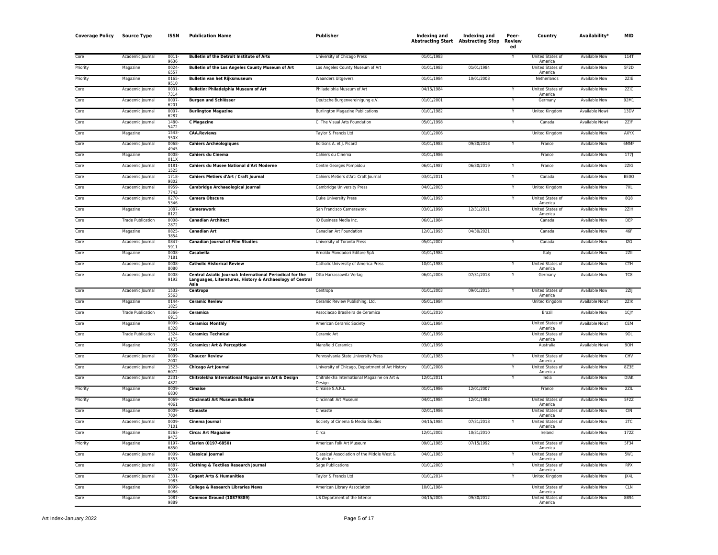| <b>Coverage Policy</b> | <b>Source Type</b>       | ISSN             | <b>Publication Name</b>                                                                                                       | Publisher                                               | Indexing and<br><b>Abstracting Start Abstracting Stop</b> | <b>Indexing and</b> | Peer-<br>Review<br>ed | Country                            | Availability <sup>,</sup> | <b>MID</b>  |
|------------------------|--------------------------|------------------|-------------------------------------------------------------------------------------------------------------------------------|---------------------------------------------------------|-----------------------------------------------------------|---------------------|-----------------------|------------------------------------|---------------------------|-------------|
| Core                   | Academic Journal         | 0011-<br>9636    | <b>Bulletin of the Detroit Institute of Arts</b>                                                                              | University of Chicago Press                             | 01/01/1983                                                |                     |                       | United States of<br>America        | <b>Available Now</b>      | 114T        |
| Priority               | Magazine                 | $0024 -$<br>6557 | <b>Bulletin of the Los Angeles County Museum of Art</b>                                                                       | Los Angeles County Museum of Art                        | 01/01/1983                                                | 01/01/1984          |                       | United States of<br>America        | <b>Available Now</b>      | 5F2D        |
| Priority               | Magazine                 | 0165<br>9510     | Bulletin van het Rijksmuseum                                                                                                  | <b>Waanders Uitgevers</b>                               | 01/01/1984                                                | 10/01/2008          |                       | Netherlands                        | <b>Available Now</b>      | 2ZIE        |
| Core                   | Academic Journal         | 0031-<br>7314    | <b>Bulletin: Philadelphia Museum of Art</b>                                                                                   | Philadelphia Museum of Art                              | 04/15/1984                                                |                     |                       | United States of<br>America        | <b>Available Now</b>      | 2ZIC        |
| Core                   | Academic Journal         | 0007<br>6201     | <b>Burgen und Schlösser</b>                                                                                                   | Deutsche Burgenvereinigung e.V.                         | 01/01/2001                                                |                     |                       | Germany                            | <b>Available Now</b>      | 92M1        |
| Core                   | Academic Journal         | $0007 -$<br>6287 | <b>Burlington Magazine</b>                                                                                                    | <b>Burlington Magazine Publications</b>                 | 01/01/1982                                                |                     |                       | United Kingdom                     | Available Now‡            | 13DV        |
| Core                   | Academic Journal         | 1480-<br>5472    | <b>C</b> Magazine                                                                                                             | C: The Visual Arts Foundation                           | 05/01/1998                                                |                     |                       | Canada                             | Available Now‡            | 2ZIF        |
| Core                   | Magazine                 | 1543-<br>950>    | <b>CAA.Reviews</b>                                                                                                            | Taylor & Francis Ltd                                    | 01/01/2006                                                |                     |                       | United Kingdom                     | Available Now             | AXYX        |
| Core                   | Academic Journal         | 0068<br>4945     | <b>Cahiers Archéologiques</b>                                                                                                 | Editions A. et J. Picard                                | 01/01/1983                                                | 09/30/2018          | Y                     | France                             | Available Now             | 6MMF        |
| Core                   | Magazine                 | 0008-<br>011X    | Cahiers du Cinema                                                                                                             | Cahiers du Cinema                                       | 01/01/1986                                                |                     |                       | France                             | Available Now             | 177         |
| Core                   | Academic Journal         | $0181 -$<br>1525 | Cahiers du Musee National d'Art Moderne                                                                                       | Centre Georges Pompidou                                 | 06/01/1987                                                | 06/30/2019          |                       | France                             | <b>Available Now</b>      | 2ZIG        |
| Core                   | Academic Journal         | 1718<br>9802     | Cahiers Metiers d'Art / Craft Journal                                                                                         | Cahiers Metiers d'Art: Craft Journal                    | 03/01/2011                                                |                     |                       | Canada                             | <b>Available Now</b>      | <b>BE00</b> |
| Core                   | Academic Journal         | 0959-<br>7743    | Cambridge Archaeological Journal                                                                                              | Cambridge University Press                              | 04/01/2003                                                |                     |                       | United Kingdom                     | Available Now             | 7XL         |
| Core                   | Academic Journal         | 0270-<br>5346    | <b>Camera Obscura</b>                                                                                                         | <b>Duke University Press</b>                            | 09/01/1993                                                |                     |                       | United States of<br>America        | <b>Available Now</b>      | <b>8Q8</b>  |
| Core                   | Magazine                 | 1087<br>8122     | Camerawork                                                                                                                    | San Francisco Camerawork                                | 03/01/1998                                                | 12/31/2011          |                       | United States of<br>America        | <b>Available Now</b>      | 2ZIH        |
| Core                   | <b>Trade Publication</b> | 0008<br>2872     | <b>Canadian Architect</b>                                                                                                     | iQ Business Media Inc.                                  | 06/01/1984                                                |                     |                       | Canada                             | <b>Available Now</b>      | <b>DEP</b>  |
| Core                   | Magazine                 | $0825 -$<br>3854 | <b>Canadian Art</b>                                                                                                           | Canadian Art Foundation                                 | 12/01/1993                                                | 04/30/2021          |                       | Canada                             | <b>Available Now</b>      | 46F         |
| Core                   | Academic Journal         | 0847-<br>5911    | <b>Canadian Journal of Film Studies</b>                                                                                       | University of Toronto Press                             | 05/01/2007                                                |                     | Y                     | Canada                             | Available Now             | 12G         |
| Core                   | Magazine                 | 0008-<br>7181    | Casabella                                                                                                                     | Arnoldo Mondadori Editore SpA                           | 01/01/1984                                                |                     |                       | Italy                              | Available Now             | 2ZII        |
| Core                   | Academic Journal         | 0008-<br>8080    | <b>Catholic Historical Review</b>                                                                                             | Catholic University of America Press                    | 10/01/1983                                                |                     | Υ                     | United States of<br>America        | <b>Available Now</b>      | <b>CTH</b>  |
| Core                   | Academic Journal         | 0008-<br>9192    | Central Asiatic Journal: International Periodical for the<br>Languages, Literatures, History & Archaeology of Central<br>Asia | Otto Harrassowitz Verlag                                | 06/01/2003                                                | 07/31/2018          |                       | Germany                            | <b>Available Now</b>      | TC8         |
| Core                   | Academic Journal         | 1532-<br>5563    | Centropa                                                                                                                      | Centropa                                                | 01/01/2003                                                | 09/01/2015          |                       | United States of<br>America        | Available Now             | 2ZI         |
| Core                   | Magazine                 | 0144-<br>1825    | <b>Ceramic Review</b>                                                                                                         | Ceramic Review Publishing, Ltd.                         | 05/01/1984                                                |                     |                       | <b>United Kingdom</b>              | Available Now‡            | 2ZIK        |
| Core                   | <b>Trade Publication</b> | 0366-<br>6913    | <b>Ceramica</b>                                                                                                               | Associacao Brasileira de Ceramica                       | 01/01/2010                                                |                     |                       | Brazil                             | <b>Available Now</b>      | 1C Y        |
| Core                   | Magazine                 | 0009<br>0328     | <b>Ceramics Monthly</b>                                                                                                       | American Ceramic Society                                | 03/01/1984                                                |                     |                       | United States of<br>America        | Available Now‡            | CEM         |
| Core                   | <b>Trade Publication</b> | 1324<br>4175     | <b>Ceramics Technical</b>                                                                                                     | Ceramic Art                                             | 05/01/1998                                                |                     |                       | United States of<br>America        | Available Now             | 90L         |
| Core                   | Magazine                 | 1035<br>1841     | <b>Ceramics: Art &amp; Perception</b>                                                                                         | <b>Mansfield Ceramics</b>                               | 03/01/1998                                                |                     |                       | Australia                          | Available Now‡            | 9OH         |
| Core                   | Academic Journal         | 0009-<br>2002    | <b>Chaucer Review</b>                                                                                                         | Pennsylvania State University Press                     | 01/01/1983                                                |                     |                       | <b>United States of</b><br>America | <b>Available Now</b>      | CHV         |
| Core                   | Academic Journal         | 1523-<br>6072    | <b>Chicago Art Journal</b>                                                                                                    | University of Chicago, Department of Art History        | 01/01/2008                                                |                     |                       | United States of<br>America        | <b>Available Now</b>      | 8Z3E        |
| Core                   | Academic Journal         | 2231-<br>4822    | Chitrolekha International Magazine on Art & Design                                                                            | Chitrolekha International Magazine on Art &<br>Design   | 12/01/2011                                                |                     |                       | India                              | <b>Available Now</b>      | <b>DIAK</b> |
| Priority               | Magazine                 | 0009-<br>6830    | Cimaise                                                                                                                       | Cimaise S.A.R.L                                         | 01/01/1986                                                | 12/01/2007          |                       | France                             | Available Now             | 2ZIL        |
| Priority               | Magazine                 | 0069-<br>4061    | Cincinnati Art Museum Bulletin                                                                                                | Cincinnati Art Museum                                   | 04/01/1984                                                | 12/01/1988          |                       | United States of<br>America        | <b>Available Now</b>      | 5F2Z        |
| Core                   | Magazine                 | 0009-<br>7004    | <b>Cineaste</b>                                                                                                               | Cineaste                                                | 02/01/1986                                                |                     |                       | United States of<br>America        | Available Now             | <b>CIN</b>  |
| Core                   | Academic Journal         | 0009<br>7101     | Cinema Journal                                                                                                                | Society of Cinema & Media Studies                       | 04/15/1984                                                | 07/31/2018          |                       | United States of<br>America        | Available Now             | 2TC         |
| Core                   | Magazine                 | 0263-<br>9475    | <b>Circa: Art Magazine</b>                                                                                                    | Circa                                                   | 12/01/2002                                                | 10/31/2010          |                       | Ireland                            | Available Now             | 172Z        |
| Priority               | Magazine                 | 0197-<br>6850    | Clarion (0197-6850)                                                                                                           | American Folk Art Museum                                | 09/01/1985                                                | 07/15/1992          |                       | United States of<br>America        | Available Now             | 5F34        |
| Core                   | Academic Journal         | 0009<br>8353     | <b>Classical Journal</b>                                                                                                      | Classical Association of the Middle West &<br>South Inc | 04/01/1983                                                |                     |                       | United States of<br>America        | <b>Available Now</b>      | 5W1         |
| Corr                   | Academic Journal         | 0887-<br>302X    | <b>Clothing &amp; Textiles Research Journal</b>                                                                               | Sage Publications                                       | 01/01/2003                                                |                     |                       | United States of<br>America        | Available Now             | <b>RPX</b>  |
| Core                   | Academic Journal         | 2331-<br>1983    | <b>Cogent Arts &amp; Humanities</b>                                                                                           | Taylor & Francis Ltd                                    | 01/01/2014                                                |                     |                       | <b>United Kingdom</b>              | <b>Available Now</b>      | JX4L        |
| Core                   | Magazine                 | 0099-<br>0086    | <b>College &amp; Research Libraries News</b>                                                                                  | American Library Association                            | 10/01/1984                                                |                     |                       | United States of<br>America        | Available Now             | <b>CLN</b>  |
| Core                   | Magazine                 | 1087-<br>9889    | <b>Common Ground (10879889)</b>                                                                                               | US Department of the Interior                           | 04/15/2005                                                | 09/30/2012          |                       | <b>United States of</b><br>America | <b>Available Now</b>      | 8B94        |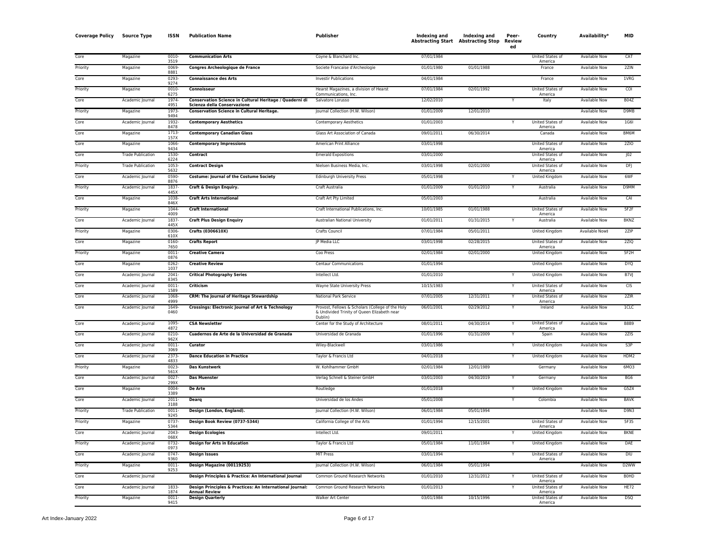| <b>Coverage Policy</b> | <b>Source Type</b>       | ISSN             | <b>Publication Name</b>                                                                | Publisher                                                                                                  | Indexing and | Indexing and<br><b>Abstracting Start Abstracting Stop</b> | Peer-<br>Review<br>ed | Country                            | Availability*        | <b>MID</b>        |
|------------------------|--------------------------|------------------|----------------------------------------------------------------------------------------|------------------------------------------------------------------------------------------------------------|--------------|-----------------------------------------------------------|-----------------------|------------------------------------|----------------------|-------------------|
| Core                   | Magazine                 | 0010-<br>3519    | <b>Communication Arts</b>                                                              | Coyne & Blanchard Inc.                                                                                     | 07/01/1984   |                                                           |                       | United States of<br>America        | Available Now        | CAT               |
| Priority               | Magazine                 | 0069<br>8881     | Congres Archeologique de France                                                        | Societe Francaise d'Archeologie                                                                            | 01/01/1980   | 01/01/1988                                                |                       | France                             | Available Now        | 2ZIN              |
| Core                   | Magazine                 | 0293<br>9274     | <b>Connaissance des Arts</b>                                                           | <b>Investir Publications</b>                                                                               | 04/01/1984   |                                                           |                       | France                             | <b>Available Now</b> | 1VRG              |
| Priority               | Magazine                 | $0010 -$<br>6275 | Connoisseur                                                                            | Hearst Magazines, a division of Hearst<br>Communications, Inc.                                             | 07/01/1984   | 02/01/1992                                                |                       | <b>United States of</b><br>America | <b>Available Now</b> | COI               |
| Core                   | Academic Journal         | 1974-<br>4951    | Conservation Science in Cultural Heritage / Quaderni di<br>Scienza della Conservazione | Salvatore Lorusso                                                                                          | 12/02/2010   |                                                           |                       | Italy                              | <b>Available Now</b> | <b>B04Z</b>       |
| Priority               | Magazine                 | 1973-<br>9494    | <b>Conservation Science in Cultural Heritage.</b>                                      | Journal Collection (H.W. Wilson)                                                                           | 01/01/2009   | 12/01/2010                                                |                       |                                    | Available Now        | D9MB              |
| Core                   | Academic Journal         | 1932<br>8478     | <b>Contemporary Aesthetics</b>                                                         | <b>Contemporary Aesthetics</b>                                                                             | 01/01/2003   |                                                           |                       | United States of<br>America        | Available Now        | 1G6I              |
| Core                   | Magazine                 | 1713<br>157X     | <b>Contemporary Canadian Glass</b>                                                     | Glass Art Association of Canada                                                                            | 09/01/2011   | 06/30/2014                                                |                       | Canada                             | <b>Available Now</b> | BM6M              |
| Core                   | Magazine                 | 1066-<br>9434    | <b>Contemporary Impressions</b>                                                        | American Print Alliance                                                                                    | 03/01/1998   |                                                           |                       | United States of<br>America        | <b>Available Now</b> | <b>2ZIO</b>       |
| Core                   | <b>Trade Publication</b> | 1530-<br>6224    | Contract                                                                               | <b>Emerald Expositions</b>                                                                                 | 03/01/2000   |                                                           |                       | United States of<br>America        | <b>Available Now</b> | JO2               |
| Priority               | <b>Trade Publication</b> | 1053<br>5632     | <b>Contract Design</b>                                                                 | Nielsen Business Media, Inc.                                                                               | 03/01/1998   | 02/01/2000                                                |                       | United States of<br>America        | Available Now        | DFI               |
| Core                   | Academic Journal         | 0590<br>8876     | <b>Costume: Journal of the Costume Society</b>                                         | <b>Edinburgh University Press</b>                                                                          | 05/01/1998   |                                                           |                       | United Kingdom                     | Available Now        | 6WF               |
| Priority               | Academic Journal         | 1837<br>445X     | <b>Craft &amp; Design Enquiry.</b>                                                     | Craft Australia                                                                                            | 01/01/2009   | 01/01/2010                                                |                       | Australia                          | <b>Available Now</b> | D9MM              |
| Core                   | Magazine                 | 1038<br>846X     | <b>Craft Arts International</b>                                                        | Craft Art Pty Limited                                                                                      | 05/01/2003   |                                                           |                       | Australia                          | <b>Available Now</b> | CAI               |
| Priority               | Magazine                 | 1044<br>4009     | <b>Craft International</b>                                                             | Craft International Publications, Inc.                                                                     | 10/01/1985   | 01/01/1988                                                |                       | United States of<br>America        | <b>Available Now</b> | 5F2F              |
| Core                   | Academic Journal         | 1837-<br>445>    | <b>Craft Plus Design Enquiry</b>                                                       | Australian National University                                                                             | 01/01/2011   | 01/31/2015                                                | Y                     | Australia                          | Available Now        | <b>BKNZ</b>       |
| Priority               | Magazine                 | 0306<br>610X     | Crafts (0306610X)                                                                      | Crafts Council                                                                                             | 07/01/1984   | 05/01/2011                                                |                       | United Kingdom                     | Available Now‡       | 2ZIP              |
| Core                   | Magazine                 | 0160-<br>7650    | <b>Crafts Report</b>                                                                   | JP Media LLC                                                                                               | 03/01/1998   | 02/28/2015                                                |                       | United States of<br>America        | Available Now        | 2ZIQ              |
| Priority               | Magazine                 | 0011<br>0876     | <b>Creative Camera</b>                                                                 | Coo Press                                                                                                  | 02/01/1984   | 02/01/2000                                                |                       | United Kingdom                     | Available Now        | 5F2H              |
| Core                   | Magazine                 | 0262-<br>1037    | <b>Creative Review</b>                                                                 | <b>Centaur Communications</b>                                                                              | 01/01/1994   |                                                           |                       | United Kingdom                     | Available Now        | <b>DYQ</b>        |
| Core                   | Academic Journal         | 2041<br>8345     | <b>Critical Photography Series</b>                                                     | Intellect Ltd.                                                                                             | 01/01/2010   |                                                           | Y                     | United Kingdom                     | <b>Available Now</b> | B7VJ              |
| Core                   | Academic Iournal         | $0011 -$<br>1589 | Criticism                                                                              | Wayne State University Press                                                                               | 10/15/1983   |                                                           |                       | <b>United States of</b><br>America | <b>Available Now</b> | <b>CIS</b>        |
| Core                   | Academic Journal         | 1068<br>4999     | <b>CRM: The Journal of Heritage Stewardship</b>                                        | National Park Service                                                                                      | 07/01/2005   | 12/31/2011                                                |                       | United States of<br>America        | <b>Available Now</b> | 2ZIR              |
| Core                   | Academic Journal         | 1649<br>0460     | Crossings: Electronic Journal of Art & Technology                                      | Provost, Fellows & Scholars (College of the Holy<br>& Undivided Trinity of Queen Elizabeth near<br>Dublin) | 06/01/2001   | 02/29/2012                                                | Ÿ                     | Ireland                            | <b>Available Now</b> | ICLC              |
| Core                   | Academic lournal         | 1095<br>4872     | <b>CSA Newsletter</b>                                                                  | Center for the Study of Architecture                                                                       | 08/01/2011   | 04/30/2014                                                |                       | <b>United States of</b><br>America | <b>Available Now</b> | <b>B8B9</b>       |
| Core                   | Academic Journal         | 0210-<br>962X    | Cuadernos de Arte de la Universidad de Granada                                         | Universidad de Granada                                                                                     | 01/01/1996   | 01/31/2009                                                |                       | Spain                              | <b>Available Now</b> | 2ZIS              |
| Core                   | Academic Journal         | $0011 -$<br>3069 | Curator                                                                                | Wiley-Blackwell                                                                                            | 03/01/1986   |                                                           | Y                     | <b>United Kingdom</b>              | <b>Available Now</b> | S3P               |
| Core                   | Academic Journal         | 2373<br>4833     | <b>Dance Education in Practice</b>                                                     | Taylor & Francis Ltd                                                                                       | 04/01/2018   |                                                           |                       | <b>United Kingdom</b>              | <b>Available Now</b> | HDM2              |
| Priority               | Magazine                 | $0023-$<br>561X  | <b>Das Kunstwerk</b>                                                                   | W. Kohlhammer GmbH                                                                                         | 02/01/1984   | 12/01/1989                                                |                       | Germany                            | <b>Available Now</b> | 6MO3              |
| Core                   | Academic Journal         | 0027<br>299X     | <b>Das Muenster</b>                                                                    | Verlag Schnell & Steiner GmbH                                                                              | 03/01/2003   | 04/30/2019                                                | Y                     | Germany                            | Available Now        | BG6               |
| Core                   | Magazine                 | 0004-<br>3389    | <b>De Arte</b>                                                                         | Routledge                                                                                                  | 01/01/2018   |                                                           |                       | United Kingdom                     | Available Now        | G5Z4              |
| Core                   | Academic Journal         | $2011 -$<br>3188 | Dearg                                                                                  | Universidad de los Andes                                                                                   | 05/01/2008   |                                                           | Y                     | Colombia                           | <b>Available Now</b> | <b>BAVK</b>       |
| Priority               | <b>Trade Publication</b> | 0011<br>9245     | Design (London, England).                                                              | Journal Collection (H.W. Wilson)                                                                           | 06/01/1984   | 05/01/1994                                                |                       |                                    | Available Now        | <b>D9N3</b>       |
| Priority               | Magazine                 | 0737-<br>5344    | Design Book Review (0737-5344)                                                         | California College of the Arts                                                                             | 01/01/1994   | 12/15/2001                                                |                       | United States of<br>America        | Available Now        | 5F35              |
| Core                   | Academic Journal         | 2043<br>068X     | <b>Design Ecologies</b>                                                                | Intellect Ltd.                                                                                             | 09/01/2011   |                                                           |                       | United Kingdom                     | Available Now        | <b>BKNE</b>       |
| Priority               | Academic Journal         | 0732-<br>0973    | <b>Design for Arts in Education</b>                                                    | Taylor & Francis Ltd                                                                                       | 05/01/1984   | 11/01/1984                                                | Y                     | United Kingdom                     | Available Now        | <b>DAE</b>        |
| Core                   | Academic Journal         | 0747<br>9360     | <b>Design Issues</b>                                                                   | <b>MIT Press</b>                                                                                           | 03/01/1994   |                                                           |                       | United States of<br>America        | <b>Available Now</b> | DIU               |
| Priority               | Magazine                 | $0011 -$<br>9253 | Design Magazine (00119253)                                                             | Journal Collection (H.W. Wilson)                                                                           | 06/01/1984   | 05/01/1994                                                |                       |                                    | <b>Available Now</b> | D <sub>2</sub> WW |
| Core                   | Academic Journal         |                  | Design Principles & Practice: An International Journal                                 | Common Ground Research Networks                                                                            | 01/01/2010   | 12/31/2012                                                |                       | United States of<br>America        | <b>Available Now</b> | <b>BOHD</b>       |
| Core                   | Academic Journal         | 1833<br>1874     | Design Principles & Practices: An International Journal:<br><b>Annual Review</b>       | Common Ground Research Networks                                                                            | 01/01/2013   |                                                           |                       | <b>United States of</b><br>America | Available Now        | <b>HE72</b>       |
| Priority               | Magazine                 | $0011 -$<br>9415 | <b>Design Quarterly</b>                                                                | <b>Walker Art Center</b>                                                                                   | 03/01/1984   | 10/15/1996                                                |                       | United States of<br>America        | <b>Available Now</b> | <b>DSO</b>        |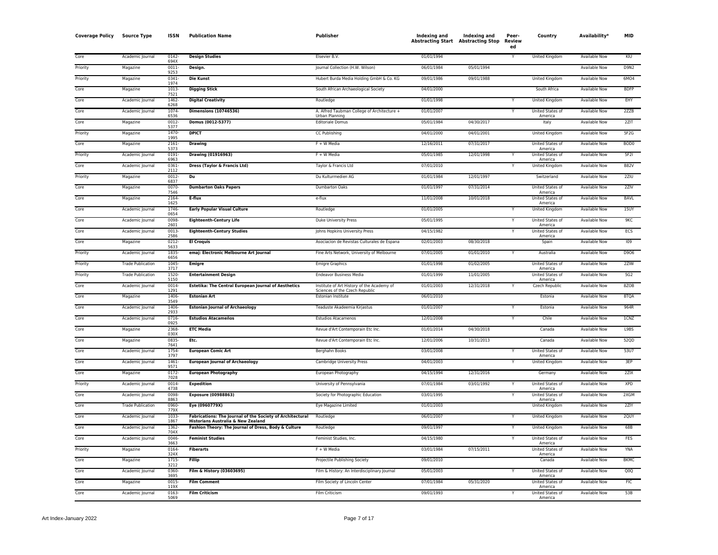| <b>Coverage Policy</b> | <b>Source Type</b>       | <b>ISSN</b>      | <b>Publication Name</b>                                                                         | Publisher                                                                    | Indexing and | Indexing and<br><b>Abstracting Start Abstracting Stop</b> | Peer-<br>Review<br>ed | Country                            | Availability*        | <b>MID</b>       |
|------------------------|--------------------------|------------------|-------------------------------------------------------------------------------------------------|------------------------------------------------------------------------------|--------------|-----------------------------------------------------------|-----------------------|------------------------------------|----------------------|------------------|
| Core                   | Academic Journal         | 0142-<br>694X    | <b>Design Studies</b>                                                                           | Elsevier B.V.                                                                | 01/01/1994   |                                                           |                       | United Kingdom                     | Available Now        | KIU              |
| Priority               | Magazine                 | $0011 -$<br>9253 | Design.                                                                                         | Journal Collection (H.W. Wilson)                                             | 06/01/1984   | 05/01/1994                                                |                       |                                    | Available Now        | <b>D9N2</b>      |
| Priority               | Magazine                 | 0341-<br>1974    | <b>Die Kunst</b>                                                                                | Hubert Burda Media Holding GmbH & Co. KG                                     | 09/01/1986   | 09/01/1988                                                |                       | United Kingdom                     | Available Now        | 6MO4             |
| Core                   | Magazine                 | 1013-<br>7521    | <b>Digging Stick</b>                                                                            | South African Archaeological Society                                         | 04/01/2000   |                                                           |                       | South Africa                       | Available Now        | <b>BDFP</b>      |
| Core                   | Academic Journal         | 1462-<br>6268    | <b>Digital Creativity</b>                                                                       | Routledge                                                                    | 01/01/1998   |                                                           |                       | <b>United Kingdom</b>              | <b>Available Now</b> | EHY              |
| Core                   | Academic Journal         | 1074-<br>6536    | <b>Dimensions (10746536)</b>                                                                    | A. Alfred Taubman College of Architecture +<br>Urban Planning                | 01/01/2007   |                                                           |                       | United States of<br>America        | <b>Available Now</b> | 2ZZB             |
| Core                   | Magazine                 | $0012 -$<br>5377 | Domus (0012-5377)                                                                               | <b>Editoriale Domus</b>                                                      | 05/01/1984   | 04/30/2017                                                |                       | Italy                              | Available Now        | 2ZIT             |
| Priority               | Magazine                 | $1470-$<br>1995  | <b>DPICT</b>                                                                                    | CC Publishing                                                                | 04/01/2000   | 04/01/2001                                                |                       | United Kingdom                     | Available Now        | 5F2G             |
| Core                   | Magazine                 | 2161-<br>5373    | <b>Drawing</b>                                                                                  | $F + W$ Media                                                                | 12/16/2011   | 07/31/2017                                                |                       | United States of<br>America        | Available Now        | BOD <sub>0</sub> |
| Priority               | Academic Journal         | 0191-<br>6963    | Drawing (01916963)                                                                              | $F + W$ Media                                                                | 05/01/1985   | 12/01/1998                                                |                       | United States of<br>America        | <b>Available Now</b> | 5F2I             |
| Core                   | Academic Journal         | 0361<br>2112     | Dress (Taylor & Francis Ltd)                                                                    | Taylor & Francis Ltd                                                         | 07/01/2010   |                                                           |                       | <b>United Kingdom</b>              | <b>Available Now</b> | <b>B82V</b>      |
| Priority               | Magazine                 | $0012 -$<br>6837 | Du                                                                                              | Du Kulturmedien AG                                                           | 01/01/1984   | 12/01/1997                                                |                       | Switzerland                        | Available Now        | 2ZIU             |
| Core                   | Magazine                 | 0070<br>7546     | <b>Dumbarton Oaks Papers</b>                                                                    | Dumbarton Oaks                                                               | 01/01/1997   | 07/31/2014                                                |                       | United States of<br>America        | Available Now        | 2ZIV             |
| Core                   | Magazine                 | 2164<br>1625     | E-flux                                                                                          | e-flux                                                                       | 11/01/2008   | 10/01/2018                                                |                       | United States of<br>America        | <b>Available Now</b> | <b>BAVL</b>      |
| Core                   | Academic Journal         | 1746-<br>0654    | <b>Early Popular Visual Culture</b>                                                             | Routledge                                                                    | 01/01/2005   |                                                           | Y                     | <b>United Kingdom</b>              | <b>Available Now</b> | 15UY             |
| Core                   | Academic Journal         | 0098-<br>2601    | <b>Eighteenth-Century Life</b>                                                                  | <b>Duke University Press</b>                                                 | 05/01/1995   |                                                           |                       | United States of<br>America        | <b>Available Now</b> | 9KC              |
| Core                   | Academic Journal         | $0013-$<br>2586  | <b>Eighteenth-Century Studies</b>                                                               | Johns Hopkins University Press                                               | 04/15/1982   |                                                           | Y                     | United States of<br>America        | <b>Available Now</b> | ECS              |
| Core                   | Magazine                 | $0212 -$<br>5633 | <b>El Croquis</b>                                                                               | Asociacion de Revistas Culturales de Espana                                  | 02/01/2003   | 08/30/2018                                                |                       | Spain                              | <b>Available Now</b> | 109              |
| Priority               | Academic Journal         | 1835<br>6656     | emaj: Electronic Melbourne Art Journal                                                          | Fine Arts Network, University of Melbourne                                   | 07/01/2005   | 01/01/2010                                                | Y                     | Australia                          | <b>Available Now</b> | D906             |
| Priority               | <b>Trade Publication</b> | 1045<br>3717     | <b>Emigre</b>                                                                                   | <b>Emigre Graphics</b>                                                       | 01/01/1998   | 01/02/2005                                                |                       | United States of<br>America        | Available Now        | 2ZIW             |
| Priority               | <b>Trade Publication</b> | 1520<br>5150     | <b>Entertainment Design</b>                                                                     | <b>Endeavor Business Media</b>                                               | 01/01/1999   | 11/01/2005                                                |                       | United States of<br>America        | Available Now        | 5G2              |
| Core                   | Academic Journal         | 0014<br>1291     | Estetika: The Central European Journal of Aesthetics                                            | Institute of Art History of the Academy of<br>Sciences of the Czech Republic | 01/01/2003   | 12/31/2018                                                |                       | Czech Republic                     | <b>Available Now</b> | 8ZOB             |
| Core                   | Magazine                 | 1406-<br>3549    | <b>Estonian Art</b>                                                                             | Estonian Institute                                                           | 06/01/2010   |                                                           |                       | Estonia                            | <b>Available Now</b> | 8TQA             |
| Core                   | Academic Journal         | 1406<br>2933     | <b>Estonian Journal of Archaeology</b>                                                          | Teaduste Akadeemia Kirjastus                                                 | 01/01/2007   |                                                           |                       | Estonia                            | <b>Available Now</b> | 964R             |
| Core                   | Academic Journal         | 0716-<br>0925    | <b>Estudios Atacameños</b>                                                                      | <b>Estudios Atacamenos</b>                                                   | 12/01/2008   |                                                           | v                     | Chile                              | <b>Available Now</b> | 1CNZ             |
| Core                   | Magazine                 | 2368-<br>030X    | <b>ETC Media</b>                                                                                | Revue d'Art Contemporain Etc Inc.                                            | 01/01/2014   | 04/30/2018                                                |                       | Canada                             | <b>Available Now</b> | L9BS             |
| Core                   | Magazine                 | 0835<br>7641     | Etc.                                                                                            | Revue d'Art Contemporain Etc Inc.                                            | 12/01/2006   | 10/31/2013                                                |                       | Canada                             | <b>Available Now</b> | 52QD             |
| Core                   | Academic Journal         | 1754<br>3797     | <b>European Comic Art</b>                                                                       | <b>Berghahn Books</b>                                                        | 03/01/2008   |                                                           |                       | United States of<br>America        | <b>Available Now</b> | 53U7             |
| Core                   | Academic Journal         | 1461<br>9571     | <b>European Journal of Archaeology</b>                                                          | Cambridge University Press                                                   | 04/01/2003   |                                                           | v                     | United Kingdom                     | Available Now        | 3EP              |
| Core                   | Magazine                 | 0172-<br>7028    | <b>European Photography</b>                                                                     | European Photography                                                         | 04/15/1994   | 12/31/2016                                                |                       | Germany                            | Available Now        | 2ZIX             |
| Priority               | Academic Journal         | 0014-<br>4738    | <b>Expedition</b>                                                                               | University of Pennsylvania                                                   | 07/01/1984   | 03/01/1992                                                |                       | United States of<br>America        | Available Now        | <b>XPD</b>       |
| Core                   | Academic Journal         | 0098<br>8863     | <b>Exposure (00988863)</b>                                                                      | Society for Photographic Education                                           | 03/01/1995   |                                                           |                       | United States of<br>America        | Available Now        | 2XGM             |
| Core                   | <b>Trade Publication</b> | 0960-<br>779>    | Eye (0960779X)                                                                                  | Eye Magazine Limited                                                         | 01/01/2003   |                                                           |                       | United Kingdom                     | Available Now        | 2ZIY             |
| Core                   | Academic Journal         | 1033<br>1867     | Fabrications: The Journal of the Society of Architectural<br>Historians Australia & New Zealand | Routledge                                                                    | 06/01/2007   |                                                           |                       | United Kingdom                     | Available Now        | 2QUY             |
| Core                   | Academic Journal         | 1362-<br>704X    | Fashion Theory: The Journal of Dress, Body & Culture                                            | Routledge                                                                    | 09/01/1997   |                                                           | Y                     | <b>United Kingdom</b>              | <b>Available Now</b> | 68B              |
| Core                   | Academic Journal         | 0046-<br>3663    | <b>Feminist Studies</b>                                                                         | Feminist Studies, Inc.                                                       | 04/15/1980   |                                                           |                       | United States of<br>America        | <b>Available Now</b> | <b>FES</b>       |
| Priority               | Magazine                 | 0164-<br>324X    | <b>Fiberarts</b>                                                                                | F + W Media                                                                  | 03/01/1984   | 07/15/2011                                                |                       | United States of<br>America        | Available Now        | <b>YNA</b>       |
| Core                   | Magazine                 | 1715<br>3212     | Fillip                                                                                          | Projectile Publishing Society                                                | 09/01/2010   |                                                           |                       | Canada                             | Available Now        | <b>BKMC</b>      |
| Core                   | Academic Journal         | 0360<br>3695     | Film & History (03603695)                                                                       | Film & History: An Interdisciplinary Journal                                 | 05/01/2003   |                                                           |                       | <b>United States of</b><br>America | <b>Available Now</b> | Q0Q              |
| Core                   | Magazine                 | 0015<br>119X     | <b>Film Comment</b>                                                                             | Film Society of Lincoln Center                                               | 07/01/1984   | 05/31/2020                                                |                       | United States of<br>America        | <b>Available Now</b> | FIC              |
| Core                   | Academic Journal         | 0163<br>5069     | <b>Film Criticism</b>                                                                           | Film Criticism                                                               | 09/01/1993   |                                                           | Υ                     | <b>United States of</b><br>America | <b>Available Now</b> | 53B              |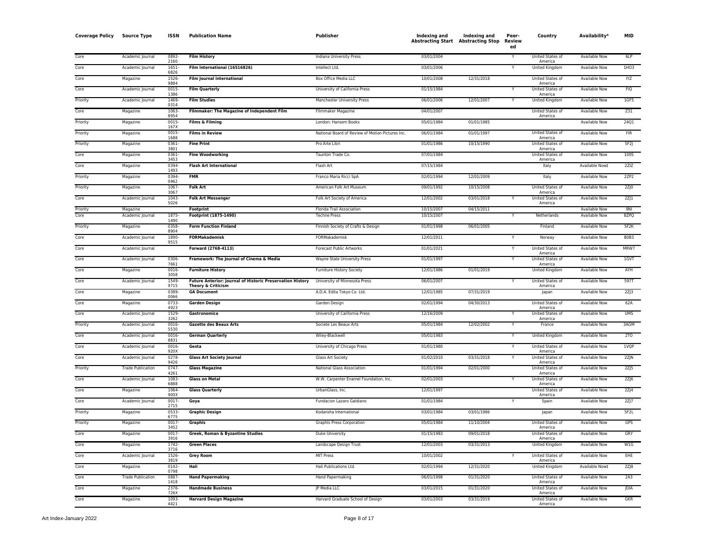| <b>Coverage Policy</b> | <b>Source Type</b>       | <b>ISSN</b>          | <b>Publication Name</b>                                                         | Publisher                                        | Indexing and<br><b>Abstracting Start Abstracting Stop</b> | Indexing and | Peer-<br>Review<br>ed | Country                            | Availability <sup>,</sup> | <b>MID</b>                    |
|------------------------|--------------------------|----------------------|---------------------------------------------------------------------------------|--------------------------------------------------|-----------------------------------------------------------|--------------|-----------------------|------------------------------------|---------------------------|-------------------------------|
| Core                   | Academic Journal         | 0892-<br>2160        | <b>Film History</b>                                                             | Indiana University Press                         | 03/01/2004                                                |              |                       | United States of<br>America        | <b>Available Now</b>      | 6LP                           |
| Core                   | Academic Journal         | 1651-<br>6826        | Film International (16516826)                                                   | Intellect Ltd.                                   | 03/01/2006                                                |              | Y                     | United Kingdom                     | Available Now             | 1HO3                          |
| Core                   | Magazine                 | 1526<br>9884         | Film Journal International                                                      | Box Office Media LLC                             | 10/01/2008                                                | 12/31/2018   |                       | United States of<br>America        | <b>Available Now</b>      | <b>IYZ</b>                    |
| Core                   | Academic Journal         | 0015                 | <b>Film Quarterly</b>                                                           | University of California Press                   | 01/15/1984                                                |              |                       | United States of<br>America        | <b>Available Now</b>      | <b>FIQ</b>                    |
| Priority               | Academic Journal         | 1386<br>1469-        | <b>Film Studies</b>                                                             | Manchester University Press                      | 06/01/2006                                                | 12/01/2007   | Υ                     | <b>United Kingdom</b>              | <b>Available Now</b>      | 1GF5                          |
| Core                   | Magazine                 | 0314<br>1063<br>8954 | Filmmaker: The Magazine of Independent Film                                     | Filmmaker Magazine                               | 04/01/2007                                                |              |                       | United States of                   | <b>Available Now</b>      | Z31                           |
| Priority               | Magazine                 | 0015-<br>167X        | Films & Filming                                                                 | London: Hansom Books                             | 05/01/1984                                                | 01/01/1985   |                       | America                            | <b>Available Now</b>      | 2401                          |
| Priority               | Magazine                 | 0015<br>1688         | <b>Films in Review</b>                                                          | National Board of Review of Motion Pictures Inc. | 06/01/1984                                                | 01/01/1997   |                       | United States of<br>America        | Available Now             | FIR                           |
| Priority               | Magazine                 | 0361-<br>3801        | <b>Fine Print</b>                                                               | Pro Arte Libri                                   | 01/01/1986                                                | 10/15/1990   |                       | United States of<br>America        | <b>Available Now</b>      | 5F2                           |
| Core                   | Magazine                 | 0361-<br>3453        | <b>Fine Woodworking</b>                                                         | Taunton Trade Co.                                | 07/01/1984                                                |              |                       | United States of<br>America        | <b>Available Now</b>      | 100S                          |
| Core                   | Magazine                 | 0394<br>1493         | <b>Flash Art International</b>                                                  | Flash Art                                        | 07/15/1984                                                |              |                       | Italy                              | Available Now‡            | 2ZIZ                          |
| Priority               | Magazine                 | 0394-<br>0462        | <b>FMR</b>                                                                      | Franco Maria Ricci SpA                           | 02/01/1994                                                | 12/01/2009   |                       | Italy                              | <b>Available Now</b>      | 2ZP2                          |
| Priority               | Magazine                 | 1067-<br>3067        | <b>Folk Art</b>                                                                 | American Folk Art Museum                         | 09/01/1992                                                | 10/15/2008   |                       | United States of<br>America        | Available Now             | 2ZJ0                          |
| Core                   | Academic Journal         | $1043-$<br>5026      | <b>Folk Art Messenger</b>                                                       | Folk Art Society of America                      | 12/01/2002                                                | 03/01/2018   |                       | United States of<br>America        | <b>Available Now</b>      | $2Z$ ] $1$                    |
| Priority               | Magazine                 |                      | Footprint                                                                       | Florida Trail Association                        | 10/15/2007                                                | 04/15/2011   |                       |                                    | <b>Available Now</b>      | 9NI                           |
| Core                   | Academic Journal         | 1875-<br>1490        | Footprint (1875-1490)                                                           | <b>Techne Press</b>                              | 10/15/2007                                                |              |                       | Netherlands                        | <b>Available Now</b>      | 8ZPQ                          |
| Priority               | Magazine                 | 0358-<br>8904        | <b>Form Function Finland</b>                                                    | Finnish Society of Crafts & Design               | 01/01/1998                                                | 06/01/2005   |                       | Finland                            | Available Now             | 5F2K                          |
| Core                   | Academic Journal         | 1890-<br>9515        | <b>FORMakademisk</b>                                                            | FORMakademisk                                    | 12/01/2011                                                |              | Y                     | Norway                             | <b>Available Now</b>      | B <sub>0</sub> B <sub>3</sub> |
| Core                   | Academic Journal         |                      | Forward (2768-4113)                                                             | Forecast Public Artworks                         | 01/01/2021                                                |              |                       | United States of<br>America        | <b>Available Now</b>      | MRW7                          |
| Core                   | Academic Journal         | 0306-<br>7661        | Framework: The Journal of Cinema & Media                                        | Wayne State University Press                     | 01/01/1997                                                |              |                       | United States of<br>America        | <b>Available Now</b>      | 1GVT                          |
| Core                   | Magazine                 | 0016-<br>3058        | <b>Furniture History</b>                                                        | <b>Furniture History Society</b>                 | 12/01/1986                                                | 01/01/2019   |                       | <b>United Kingdom</b>              | <b>Available Now</b>      | AYH                           |
| Core                   | Academic Journal         | 1549<br>9715         | Future Anterior: Journal of Historic Preservation History<br>Theory & Criticism | University of Minnesota Press                    | 06/01/2007                                                |              |                       | United States of<br>America        | <b>Available Now</b>      | 597T                          |
| Core                   | Magazine                 | 0389<br>0066         | <b>GA Document</b>                                                              | A.D.A. Edita Tokyo Co. Ltd.                      | 12/01/1985                                                | 07/31/2019   |                       | Japan                              | <b>Available Now</b>      | 2Z/3                          |
| Core                   | Magazine                 | 0733-<br>4923        | <b>Garden Design</b>                                                            | Garden Design                                    | 02/01/1994                                                | 04/30/2013   |                       | United States of<br>America        | <b>Available Now</b>      | 62A                           |
| Core                   | Academic Journal         | 1529-<br>3262        | Gastronomica                                                                    | University of California Press                   | 12/16/2009                                                |              |                       | United States of<br>America        | Available Now             | UMS                           |
| Priority               | Academic Journal         | 0016-<br>5530        | <b>Gazette des Beaux Arts</b>                                                   | Societe Les Beaux Arts                           | 05/01/1984                                                | 12/02/2002   | Y                     | France                             | Available Now             | 3AGM                          |
| Core                   | Academic Journal         | 0016-<br>8831        | <b>German Quarterly</b>                                                         | Wiley-Blackwell                                  | 05/01/1983                                                |              |                       | United Kingdom                     | Available Now             | 2T <sub>0</sub>               |
| Core                   | Academic Journal         | 0016-<br>920>        | Gesta                                                                           | University of Chicago Press                      | 01/01/1980                                                |              | Y                     | United States of<br>America        | Available Now             | 1VQP                          |
| Core                   | Academic Journal         | 0278<br>9426         | <b>Glass Art Society Journal</b>                                                | <b>Glass Art Society</b>                         | 01/02/2010                                                | 03/31/2018   | Y                     | United States of<br>America        | <b>Available Now</b>      | 2Z/N                          |
| Priority               | <b>Trade Publication</b> | $0747 -$<br>4261     | <b>Glass Magazine</b>                                                           | National Glass Association                       | 01/01/1994                                                | 02/01/2000   |                       | <b>United States of</b><br>America | <b>Available Now</b>      | 2ZJ5                          |
| Core                   | Academic Journal         | 1083<br>6888         | <b>Glass on Metal</b>                                                           | W.W. Carpenter Enamel Foundation, Inc.           | 02/01/2003                                                |              |                       | United States of<br>America        | <b>Available Now</b>      | 2Z/6                          |
| Core                   | Magazine                 | 1064<br>900X         | <b>Glass Quarterly</b>                                                          | UrbanGlass, Inc.                                 | 12/01/1997                                                |              |                       | United States of<br>America        | <b>Available Now</b>      | $2Z$ ]4                       |
| Core                   | Academic Journal         | $0017 -$<br>2715     | Goya                                                                            | Fundacion Lazaro Galdiano                        | 01/01/1984                                                |              |                       | Spain                              | <b>Available Now</b>      | 2ZJ                           |
| Priority               | Magazine                 | 0533<br>6775         | <b>Graphic Design</b>                                                           | Kodansha International                           | 03/01/1984                                                | 03/01/1986   |                       | Japan                              | Available Now             | 5F2L                          |
| Priority               | Magazine                 | 0017-<br>3452        | <b>Graphis</b>                                                                  | Graphis Press Corporation                        | 05/01/1984                                                | 11/10/2004   |                       | United States of<br>America        | <b>Available Now</b>      | GPS                           |
| Core                   | Magazine                 | 0017-<br>3916        | Greek, Roman & Byzantine Studies                                                | Duke University                                  | 01/15/1983                                                | 09/01/2018   |                       | United States of<br>America        | Available Now             | GRY                           |
| Core                   | Magazine                 | 1742-<br>3716        | <b>Green Places</b>                                                             | Landscape Design Trust                           | 12/01/2003                                                | 03/31/2013   |                       | United Kingdom                     | Available Now             | W1G                           |
| Core                   | Academic Journal         | 1526-<br>3819        | <b>Grey Room</b>                                                                | MIT Press                                        | 10/01/2002                                                |              |                       | United States of<br>America        | Available Now             | <b>EHE</b>                    |
| Core                   | Magazine                 | 0142-<br>0798        | Hali                                                                            | Hali Publications Ltd.                           | 02/01/1994                                                | 12/31/2020   |                       | United Kingdom                     | Available Now‡            | 2Z/8                          |
| Core                   | <b>Trade Publication</b> | 0887<br>1418         | <b>Hand Papermaking</b>                                                         | Hand Papermaking                                 | 06/01/1998                                                | 01/31/2020   |                       | United States of<br>America        | <b>Available Now</b>      | 2A3                           |
| Core                   | Magazine                 | 2376-<br>726         | <b>Handmade Business</b>                                                        | JP Media LLC                                     | 03/01/2015                                                | 01/31/2020   |                       | <b>United States of</b><br>America | <b>Available Now</b>      | <b>IDIA</b>                   |
| Core                   | Magazine                 | 1093<br>4421         | <b>Harvard Design Magazine</b>                                                  | Harvard Graduate School of Design                | 03/01/2003                                                | 03/31/2019   |                       | United States of<br>America        | <b>Available Now</b>      | <b>GKR</b>                    |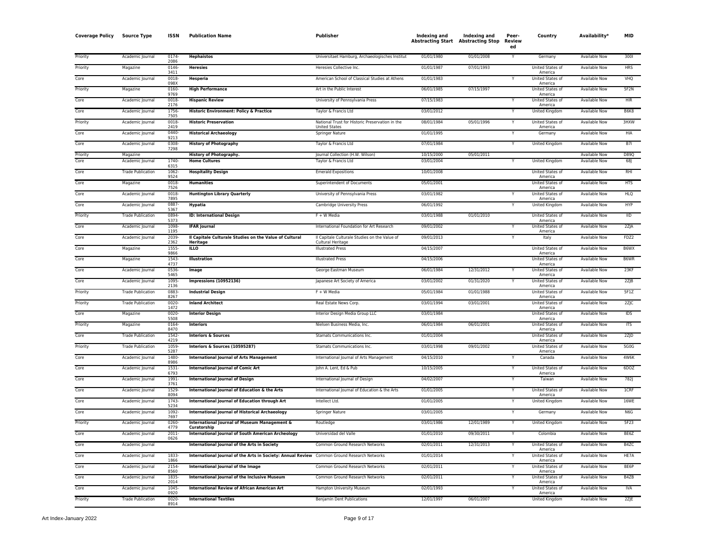| <b>Coverage Policy</b> | <b>Source Type</b>       | <b>ISSN</b>          | <b>Publication Name</b>                                                                     | Publisher                                                               | <b>Indexing and</b> | Indexing and<br><b>Abstracting Start Abstracting Stop</b> | Peer-<br>Review<br>ed | Country                                | Availability <sup>*</sup> | <b>MID</b>  |
|------------------------|--------------------------|----------------------|---------------------------------------------------------------------------------------------|-------------------------------------------------------------------------|---------------------|-----------------------------------------------------------|-----------------------|----------------------------------------|---------------------------|-------------|
| Priority               | Academic Journal         | $0174-$<br>2086      | <b>Hephaistos</b>                                                                           | Universitaet Hamburg, Archaeologisches Institut                         | 01/01/1980          | 01/01/2008                                                |                       | Germany                                | <b>Available Now</b>      | 3001        |
| Priority               | Magazine                 | 0146<br>3411         | <b>Heresies</b>                                                                             | Heresies Collective Inc.                                                | 01/01/1987          | 07/01/1993                                                |                       | United States of<br>America            | Available Now             | <b>HRS</b>  |
| Core                   | Academic Journal         | 0018-<br>098X        | <b>Hesperia</b>                                                                             | American School of Classical Studies at Athens                          | 01/01/1983          |                                                           |                       | United States of<br>America            | <b>Available Now</b>      | VHQ         |
| Priority               | Magazine                 | 0160-<br>9769        | <b>High Performance</b>                                                                     | Art in the Public Interest                                              | 06/01/1985          | 07/15/1997                                                |                       | United States of<br>America            | <b>Available Now</b>      | 5F2N        |
| Core                   | Academic Journal         | 0018-<br>2176        | <b>Hispanic Review</b>                                                                      | University of Pennsylvania Press                                        | 07/15/1983          |                                                           | Y                     | United States of<br>America            | Available Now             | <b>HIR</b>  |
| Core                   | Academic Journal         | 1756<br>7505         | Historic Environment: Policy & Practice                                                     | Taylor & Francis Ltd                                                    | 03/01/2012          |                                                           |                       | <b>United Kingdom</b>                  | <b>Available Now</b>      | B6K8        |
| Priority               | Academic Journal         | 0018-<br>2419        | <b>Historic Preservation</b>                                                                | National Trust for Historic Preservation in the<br><b>United States</b> | 08/01/1984          | 05/01/1996                                                |                       | United States of<br>America            | <b>Available Now</b>      | 3HXW        |
| Core                   | Academic Journal         | $0440 -$<br>9213     | <b>Historical Archaeology</b>                                                               | Springer Nature                                                         | 01/01/1995          |                                                           | Y                     | Germany                                | Available Now             | HIA         |
| Core                   | Academic Journal         | 0308<br>7298         | <b>History of Photography</b>                                                               | Taylor & Francis Ltd                                                    | 07/01/1984          |                                                           | Y                     | United Kingdom                         | Available Now             | B7I         |
| Priority               | Magazine                 |                      | <b>History of Photography.</b>                                                              | Journal Collection (H.W. Wilson)                                        | 10/15/2000          | 05/01/2011                                                |                       |                                        | Available Now             | D890        |
| Core                   | Academic Journal         | 1740-<br>6315        | <b>Home Cultures</b>                                                                        | Taylor & Francis Ltd                                                    | 03/01/2004          |                                                           |                       | <b>United Kingdom</b>                  | <b>Available Now</b>      | 68J         |
| Core                   | <b>Trade Publication</b> | 1062-<br>9524        | <b>Hospitality Design</b>                                                                   | <b>Emerald Expositions</b>                                              | 10/01/2008          |                                                           |                       | <b>United States of</b><br>America     | Available Now             | RHI         |
| Core                   | Magazine                 | 0018<br>7526         | <b>Humanities</b>                                                                           | Superintendent of Documents                                             | 05/01/2001          |                                                           |                       | United States of<br>America            | <b>Available Now</b>      | <b>HTS</b>  |
| Core                   | Academic Journal         | 0018-<br>7895        | <b>Huntington Library Quarterly</b>                                                         | University of Pennsylvania Press                                        | 03/01/1982          |                                                           |                       | United States of<br>America            | Available Now             | <b>HLQ</b>  |
| Core                   | Academic Journal         | 0887-<br>5367        | <b>Hypatia</b>                                                                              | Cambridge University Press                                              | 06/01/1992          |                                                           |                       | <b>United Kingdom</b>                  | <b>Available Now</b>      | <b>HYP</b>  |
| Priority               | <b>Trade Publication</b> | 0894-<br>5373        | <b>ID: International Design</b>                                                             | F + W Media                                                             | 03/01/1988          | 01/01/2010                                                |                       | United States of<br>America            | Available Now             | IID         |
| Core                   | Academic Journal         | 1098-<br>1195        | <b>IFAR Journal</b>                                                                         | International Foundation for Art Research                               | 09/01/2002          |                                                           | Y                     | United States of<br>America            | Available Now             | 2ZJA        |
| Core                   | Academic Journal         | 2039-<br>2362        | Il Capitale Culturale Studies on the Value of Cultural                                      | Il Capitale Culturale Studies on the Value of                           | 09/01/2013          |                                                           |                       | Italy                                  | Available Now             | FDZ2        |
| Core                   | Magazine                 | 1555-                | Heritage<br><b>ILLO</b>                                                                     | Cultural Heritage<br><b>Illustrated Press</b>                           | 04/15/2007          |                                                           |                       | United States of                       | Available Now             | B6WX        |
| Corr                   | Magazine                 | 9866<br>1543-        | <b>Illustration</b>                                                                         | <b>Illustrated Press</b>                                                | 04/15/2006          |                                                           |                       | America<br><b>United States of</b>     | <b>Available Now</b>      | B6WR        |
| Core                   | Academic Journal         | 4737<br>0536         | Image                                                                                       | George Eastman Museum                                                   | 06/01/1984          | 12/31/2012                                                |                       | America<br><b>United States of</b>     | <b>Available Now</b>      | 23KF        |
| Core                   | Academic Journal         | 5465<br>1095-        | <b>Impressions (10952136)</b>                                                               | Japanese Art Society of America                                         | 03/01/2002          | 01/31/2020                                                |                       | America<br>United States of            | <b>Available Now</b>      | 2ZJB        |
| Priority               | <b>Trade Publication</b> | 2136<br>0883<br>8267 | <b>Industrial Design</b>                                                                    | F + W Media                                                             | 05/01/1984          | 01/01/1988                                                |                       | America<br>United States of<br>America | <b>Available Now</b>      | 5F1Z        |
| Priority               | <b>Trade Publication</b> | 0020-<br>1472        | <b>Inland Architect</b>                                                                     | Real Estate News Corp                                                   | 03/01/1994          | 03/01/2001                                                |                       | United States of<br>America            | <b>Available Now</b>      | $2Z$ $C$    |
| Core                   | Magazine                 | 0020-<br>5508        | <b>Interior Design</b>                                                                      | Interior Design Media Group LLC                                         | 03/01/1984          |                                                           |                       | United States of<br>America            | Available Now             | IDS         |
| Priority               | Magazine                 | 0164-<br>8470        | <b>Interiors</b>                                                                            | Nielsen Business Media, Inc.                                            | 06/01/1984          | 06/01/2001                                                |                       | United States of<br>America            | <b>Available Now</b>      | ITS         |
| Core                   | <b>Trade Publication</b> | 1542-<br>4219        | <b>Interiors &amp; Sources</b>                                                              | Stamats Communications Inc.                                             | 01/01/2004          |                                                           |                       | United States of<br>America            | <b>Available Now</b>      | 2ZJD        |
| Priority               | <b>Trade Publication</b> | 1059-<br>5287        | Interiors & Sources (10595287)                                                              | Stamats Communications Inc.                                             | 03/01/1998          | 09/01/2002                                                |                       | United States of<br>America            | Available Now             | 5G0G        |
| Core                   | Academic Journal         | 1480-<br>8986        | <b>International Journal of Arts Management</b>                                             | International Journal of Arts Management                                | 04/15/2010          |                                                           |                       | Canada                                 | Available Now             | 4W6K        |
| Core                   | Academic Journal         | $1531 -$<br>6793     | <b>International Journal of Comic Art</b>                                                   | John A. Lent, Ed & Pub                                                  | 10/15/2005          |                                                           |                       | United States of<br>America            | Available Now             | 6DOZ        |
| Corr                   | Academic Journal         | 1991-<br>3761        | <b>International Journal of Design</b>                                                      | International Journal of Design                                         | 04/02/2007          |                                                           |                       | Taiwan                                 | <b>Available Now</b>      | <b>782J</b> |
| Core                   | Academic Journal         | 1529<br>8094         | International Journal of Education & the Arts                                               | International Journal of Education & the Arts                           | 01/01/2005          |                                                           | Y                     | United States of<br>America            | Available Now             | 1CRF        |
| Core                   | Academic Journal         | 1743-<br>5234        | International Journal of Education through Art                                              | Intellect Ltd.                                                          | 01/01/2005          |                                                           |                       | United Kingdom                         | Available Now             | <b>16WE</b> |
| Core                   | Academic Journal         | 1092-<br>7697        | <b>International Journal of Historical Archaeology</b>                                      | <b>Springer Nature</b>                                                  | 03/01/2005          |                                                           |                       | Germany                                | <b>Available Now</b>      | N6G         |
| Priority               | Academic Journal         | 0260-<br>4779        | International Journal of Museum Management &<br>Curatorship                                 | Routledge                                                               | 03/01/1986          | 12/01/1989                                                |                       | <b>United Kingdom</b>                  | <b>Available Now</b>      | 5F23        |
| Core                   | Academic Journal         | 2011-<br>0626        | <b>International Journal of South American Archeology</b>                                   | Universidad del Valle                                                   | 01/01/2010          | 09/30/2011                                                |                       | Colombia                               | Available Now             | BE6Z        |
| Core                   | Academic Journal         |                      | International Journal of the Arts in Society                                                | Common Ground Research Networks                                         | 02/01/2011          | 12/31/2013                                                | Y                     | United States of<br>America            | <b>Available Now</b>      | B4ZC        |
| Core                   | Academic Journal         | 1833<br>1866         | International Journal of the Arts in Society: Annual Review Common Ground Research Networks |                                                                         | 01/01/2014          |                                                           |                       | United States of<br>America            | Available Now             | HE7A        |
| Core                   | Academic Journal         | 2154-<br>8560        | International Journal of the Image                                                          | Common Ground Research Networks                                         | 02/01/2011          |                                                           | Y                     | United States of<br>America            | <b>Available Now</b>      | BE6P        |
| Core                   | Academic Journal         | 1835-<br>2014        | <b>International Journal of the Inclusive Museum</b>                                        | Common Ground Research Networks                                         | 02/01/2011          |                                                           |                       | United States of<br>America            | Available Now             | B4ZB        |
| Corr                   | Academic Journal         | 1045-<br>0920        | <b>International Review of African American Art</b>                                         | Hampton University Museum                                               | 02/01/1993          |                                                           | Y                     | <b>United States of</b><br>America     | Available Now             | <b>IVA</b>  |
| Priority               | <b>Trade Publication</b> | $0020 -$<br>8914     | <b>International Textiles</b>                                                               | <b>Benjamin Dent Publications</b>                                       | 12/01/1997          | 06/01/2007                                                |                       | United Kingdom                         | Available Now             | 2Z E        |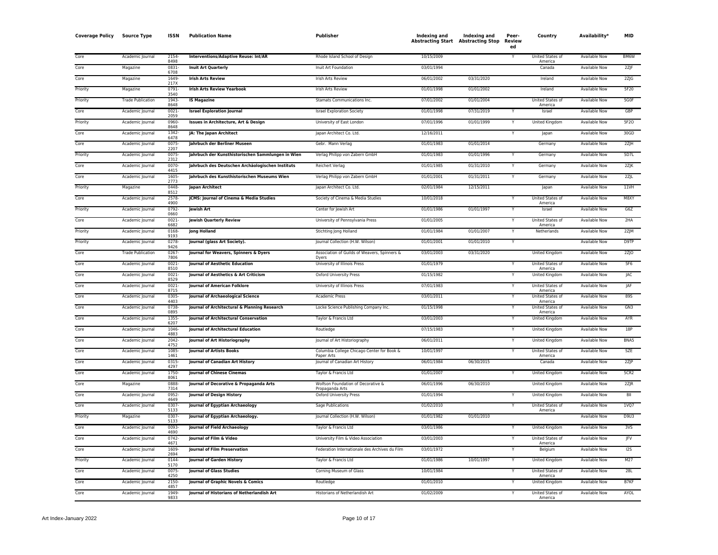| <b>Coverage Policy</b> | <b>Source Type</b>       | <b>ISSN</b>      | <b>Publication Name</b>                           | Publisher                                                | Indexing and | Indexing and<br><b>Abstracting Start</b> Abstracting Stop | Peer-<br>Review<br>ed | Country                            | Availability*        | MID        |
|------------------------|--------------------------|------------------|---------------------------------------------------|----------------------------------------------------------|--------------|-----------------------------------------------------------|-----------------------|------------------------------------|----------------------|------------|
| Core                   | Academic Journal         | 2154<br>8498     | <b>Interventions/Adaptive Reuse: Int/AR</b>       | Rhode Island School of Design                            | 10/15/2009   |                                                           |                       | <b>United States of</b><br>America | <b>Available Now</b> | BM6W       |
| Core                   | Magazine                 | 0831-<br>6708    | <b>Inuit Art Quarterly</b>                        | Inuit Art Foundation                                     | 03/01/1994   |                                                           |                       | Canada                             | <b>Available Now</b> | 2Z F       |
| Core                   | Magazine                 | 1649<br>217X     | <b>Irish Arts Review</b>                          | Irish Arts Review                                        | 06/01/2002   | 03/31/2020                                                |                       | Ireland                            | <b>Available Now</b> | $2Z$ $G$   |
| Priority               | Magazine                 | $0791 -$<br>3540 | <b>Irish Arts Review Yearbook</b>                 | Irish Arts Review                                        | 01/01/1998   | 01/01/2002                                                |                       | Ireland                            | <b>Available Now</b> | 5F20       |
| Priority               | <b>Trade Publication</b> | 1943<br>8648     | <b>IS Magazine</b>                                | Stamats Communications Inc.                              | 07/01/2002   | 01/01/2004                                                |                       | United States of<br>America        | <b>Available Now</b> | 5G0F       |
| Core                   | Academic Journal         | $0021 -$<br>2059 | <b>Israel Exploration Journal</b>                 | <b>Israel Exploration Society</b>                        | 01/01/1998   | 07/31/2019                                                |                       | Israel                             | <b>Available Now</b> | GBP        |
| Priority               | Academic Journal         | 0960<br>8648     | Issues in Architecture, Art & Design              | University of East London                                | 07/01/1996   | 01/01/1999                                                |                       | <b>United Kingdom</b>              | <b>Available Now</b> | 5F20       |
| Core                   | Academic Journal         | 1342<br>6478     | JA: The Japan Architect                           | Japan Architect Co. Ltd.                                 | 12/16/2011   |                                                           |                       | Japan                              | <b>Available Now</b> | 30GD       |
| Core                   | Academic Journal         | 0075<br>2207     | Jahrbuch der Berliner Museen                      | Gebr. Mann Verlag                                        | 01/01/1983   | 01/01/2014                                                |                       | Germany                            | <b>Available Now</b> | 2ZJH       |
| Priority               | Academic Journal         | 0075<br>2312     | Jahrbuch der Kunsthistorischen Sammlungen in Wien | Verlag Philipp von Zabern GmbH                           | 01/01/1983   | 01/01/1996                                                |                       | Germany                            | Available Now        | 5D7L       |
| Core                   | Academic Journal         | 0070<br>4415     | Jahrbuch des Deutschen Archäologischen Instituts  | Reichert Verlag                                          | 01/01/1985   | 01/31/2010                                                |                       | Germany                            | Available Now        | 2ZJK       |
| Core                   | Academic Journal         | 1605<br>2773     | Jahrbuch des Kunsthistorischen Museums Wien       | Verlag Philipp von Zabern GmbH                           | 01/01/2001   | 01/31/2011                                                |                       | Germany                            | Available Now        | 2ZJL       |
| Priority               | Magazine                 | 0448<br>8512     | Japan Architect                                   | Japan Architect Co. Ltd.                                 | 02/01/1984   | 12/15/2011                                                |                       | Japan                              | Available Now        | 11VH       |
| Core                   | Academic Journal         | 2578<br>4900     | JCMS: Journal of Cinema & Media Studies           | Society of Cinema & Media Studies                        | 10/01/2018   |                                                           |                       | United States of<br>America        | <b>Available Now</b> | M8XY       |
| Priority               | Academic Journal         | 0792-<br>0660    | <b>Jewish Art</b>                                 | Center for Jewish Art                                    | 01/01/1986   | 01/01/1997                                                |                       | Israel                             | <b>Available Now</b> | G6Z        |
| Core                   | Academic Journal         | 0021<br>6682     | <b>Jewish Quarterly Review</b>                    | University of Pennsylvania Press                         | 01/01/2005   |                                                           |                       | United States of<br>America        | <b>Available Now</b> | 2HA        |
| Priority               | Academic Journal         | 0168<br>9193     | <b>Jong Holland</b>                               | Stichting Jong Holland                                   | 01/01/1984   | 01/01/2007                                                |                       | Netherlands                        | Available Now        | 2ZJM       |
| Priority               | Academic Journal         | 0278<br>9426     | Journal (glass Art Society).                      | Journal Collection (H.W. Wilson)                         | 01/01/2001   | 01/01/2010                                                |                       |                                    | <b>Available Now</b> | D9TP       |
| Core                   | <b>Trade Publication</b> | 0267<br>7806     | Journal for Weavers, Spinners & Dyers             | Association of Guilds of Weavers, Spinners &<br>Dyers    | 03/01/2003   | 03/31/2020                                                |                       | <b>United Kingdom</b>              | <b>Available Now</b> | $2Z$ JO    |
| Core                   | Academic Journal         | 0021<br>8510     | <b>Journal of Aesthetic Education</b>             | University of Illinois Press                             | 01/01/1979   |                                                           |                       | United States of<br>America        | <b>Available Now</b> | 5F6        |
| Core                   | Academic Journal         | 0021<br>8529     | Journal of Aesthetics & Art Criticism             | <b>Oxford University Press</b>                           | 01/15/1982   |                                                           |                       | United Kingdom                     | Available Now        | <b>JAC</b> |
| Core                   | Academic Journal         | 0021<br>8715     | <b>Journal of American Folklore</b>               | University of Illinois Press                             | 07/01/1983   |                                                           |                       | United States of<br>America        | Available Now        | <b>JAF</b> |
| Core                   | Academic Journal         | 0305<br>4403     | Journal of Archaeological Science                 | Academic Press                                           | 03/01/2011   |                                                           |                       | United States of<br>America        | Available Now        | 895        |
| Core                   | Academic Journal         | 0738<br>0895     | Journal of Architectural & Planning Research      | Locke Science Publishing Company Inc.                    | 01/15/1998   |                                                           |                       | United States of<br>America        | Available Now        | GN3        |
| Core                   | Academic Journal         | 1355<br>6207     | Journal of Architectural Conservation             | Taylor & Francis Ltd                                     | 03/01/2003   |                                                           | Y                     | United Kingdom                     | Available Now        | AYR        |
| Core                   | Academic Journal         | 1046<br>4883     | Journal of Architectural Education                | Routledge                                                | 07/15/1983   |                                                           |                       | United Kingdom                     | Available Now        | 18P        |
| Core                   | Academic Journal         | 2042<br>4752     | Journal of Art Historiography                     | Journal of Art Historiography                            | 06/01/2011   |                                                           |                       | United Kingdom                     | Available Now        | BNA5       |
| Core                   | Academic Journal         | 1085<br>1461     | <b>Journal of Artists Books</b>                   | Columbia College Chicago Center for Book &<br>Paper Arts | 10/01/1997   |                                                           |                       | United States of<br>America        | Available Now        | <b>SZE</b> |
| Core                   | Academic Journal         | 0315<br>4297     | Journal of Canadian Art History                   | Journal of Canadian Art History                          | 06/01/1984   | 06/30/2015                                                |                       | Canada                             | Available Now        | 2ZJP       |
| Core                   | Academic Journal         | 1750<br>8061     | <b>Journal of Chinese Cinemas</b>                 | Taylor & Francis Ltd                                     | 01/01/2007   |                                                           |                       | United Kingdom                     | Available Now        | 5CR2       |
| Core                   | Magazine                 | 0888<br>7314     | Journal of Decorative & Propaganda Arts           | Wolfson Foundation of Decorative &<br>Propaganda Arts    | 06/01/1996   | 06/30/2010                                                |                       | United Kingdom                     | Available Now        | $2Z$ JR    |
| Core                   | Academic Journal         | 0952<br>4649     | Journal of Design History                         | Oxford University Press                                  | 01/01/1994   |                                                           |                       | United Kingdom                     | Available Now        | BII        |
| Core                   | Academic Journal         | 0307<br>5133     | Journal of Egyptian Archaeology                   | Sage Publications                                        | 01/02/2010   |                                                           |                       | United States of<br>America        | Available Now        | 1VQ7       |
| Priority               | Magazine                 | 0307<br>5133     | Journal of Egyptian Archaeology.                  | Journal Collection (H.W. Wilson)                         | 01/01/1982   | 01/01/2010                                                |                       |                                    | <b>Available Now</b> | D9U3       |
| Core                   | Academic Journal         | 0093<br>4690     | Journal of Field Archaeology                      | Taylor & Francis Ltd                                     | 03/01/1986   |                                                           |                       | <b>United Kingdom</b>              | <b>Available Now</b> | 3VS        |
| Core                   | Academic Journal         | 0742<br>4671     | Journal of Film & Video                           | University Film & Video Association                      | 03/01/2003   |                                                           |                       | United States of<br>America        | <b>Available Now</b> | <b>JFV</b> |
| Core                   | Academic Journal         | 1609<br>2694     | Journal of Film Preservation                      | Federation Internationale des Archives du Film           | 03/01/1972   |                                                           |                       | Belgium                            | Available Now        | 125        |
| Priority               | Academic Journal         | 0144<br>5170     | <b>Journal of Garden History</b>                  | Taylor & Francis Ltd                                     | 01/01/1986   | 10/01/1997                                                | Y                     | <b>United Kingdom</b>              | <b>Available Now</b> | M27        |
| Core                   | Academic Iournal         | 0075<br>4250     | <b>Journal of Glass Studies</b>                   | Corning Museum of Glass                                  | 10/01/1984   |                                                           |                       | <b>United States of</b><br>America | <b>Available Now</b> | 28L        |
| Core                   | Academic Journal         | 2150<br>4857     | Journal of Graphic Novels & Comics                | Routledge                                                | 01/01/2010   |                                                           |                       | United Kingdom                     | <b>Available Now</b> | B7KF       |
| Core                   | Academic Journal         | 1949<br>9833     | Journal of Historians of Netherlandish Art        | Historians of Netherlandish Art                          | 01/02/2009   |                                                           | Y                     | <b>United States of</b><br>America | <b>Available Now</b> | AYOL       |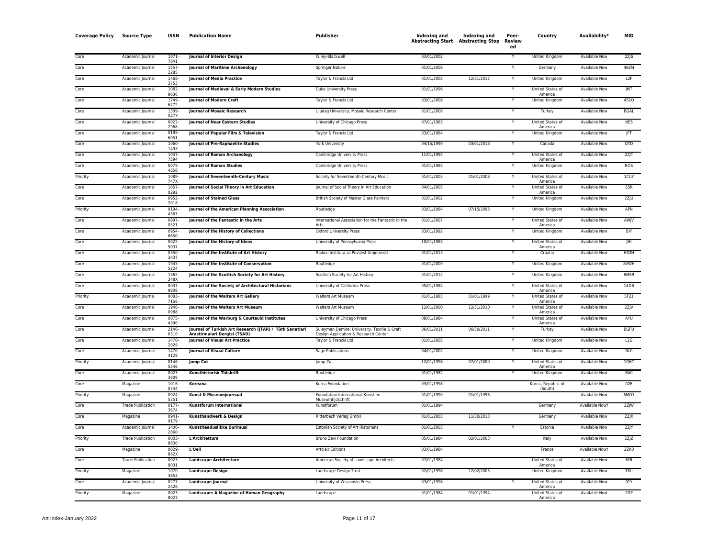| <b>Coverage Policy Source Type</b> |                          | <b>ISSN</b>      | <b>Publication Name</b>                                                                 | Publisher                                                                            | <b>Indexing and</b><br><b>Abstracting Start Abstracting Stop</b> | <b>Indexing and</b> | Peer-<br>Review<br>ed | Country                            | Availability*        | <b>MID</b>        |
|------------------------------------|--------------------------|------------------|-----------------------------------------------------------------------------------------|--------------------------------------------------------------------------------------|------------------------------------------------------------------|---------------------|-----------------------|------------------------------------|----------------------|-------------------|
| Core                               | Academic Journal         | 1071-<br>7641    | <b>Journal of Interior Design</b>                                                       | Wiley-Blackwell                                                                      | 03/01/2002                                                       |                     |                       | United Kingdom                     | Available Now        | 2Z S              |
| Core                               | Academic Journal         | 1557<br>2285     | <b>Journal of Maritime Archaeology</b>                                                  | Springer Nature                                                                      | 01/01/2006                                                       |                     |                       | Germany                            | Available Now        | 46EM              |
| Core                               | Academic Journal         | 1468<br>2753     | <b>Journal of Media Practice</b>                                                        | Taylor & Francis Ltd                                                                 | 01/01/2005                                                       | 12/31/2017          |                       | United Kingdom                     | <b>Available Now</b> | L2F               |
| Core                               | Academic Journal         | 1082<br>9636     | Journal of Medieval & Early Modern Studies                                              | Duke University Press                                                                | 01/01/1996                                                       |                     |                       | United States of<br>America        | <b>Available Now</b> | <b>JMT</b>        |
| Core                               | Academic Journal         | 1749<br>6772     | <b>Journal of Modern Craft</b>                                                          | Taylor & Francis Ltd                                                                 | 03/01/2008                                                       |                     |                       | <b>United Kingdom</b>              | <b>Available Now</b> | 4510              |
| Core                               | Academic Journal         | 1309<br>047x     | <b>Journal of Mosaic Research</b>                                                       | Uludag University, Mosaic Research Center                                            | 01/01/2008                                                       |                     | Y                     | Turkey                             | <b>Available Now</b> | <b>BGAL</b>       |
| Core                               | Academic Journal         | 0022-<br>2968    | Journal of Near Eastern Studies                                                         | University of Chicago Press                                                          | 07/01/1983                                                       |                     |                       | United States of<br>America        | <b>Available Now</b> | <b>NES</b>        |
| Core                               | Academic Journal         | 0195<br>6051     | Journal of Popular Film & Television                                                    | Taylor & Francis Ltd                                                                 | 03/01/1984                                                       |                     |                       | <b>United Kingdom</b>              | <b>Available Now</b> | <b>JFT</b>        |
| Core                               | Academic Journal         | 1060<br>149X     | Journal of Pre-Raphaelite Studies                                                       | York University                                                                      | 04/15/1999                                                       | 03/01/2018          |                       | Canada                             | <b>Available Now</b> | QTD               |
| Core                               | Academic Journal         | 1047-<br>7594    | Journal of Roman Archaeology                                                            | Cambridge University Press                                                           | 11/01/1994                                                       |                     |                       | United States of<br>America        | Available Now        | 2ZJT              |
| Core                               | Academic Journal         | 0075<br>4358     | <b>Journal of Roman Studies</b>                                                         | Cambridge University Press                                                           | 01/01/1983                                                       |                     |                       | United Kingdom                     | Available Now        | <b>ROS</b>        |
| Priority                           | Academic Journal         | 1089<br>747X     | Journal of Seventeenth-Century Music                                                    | Society for Seventeenth-Century Music                                                | 01/01/2003                                                       | 01/01/2008          |                       | United States of<br>America        | Available Now        | <b>1CUY</b>       |
| Core                               | Academic Journal         | 1057<br>0292     | Journal of Social Theory in Art Education                                               | Journal of Social Theory in Art Education                                            | 04/01/2005                                                       |                     |                       | United States of<br>America        | Available Now        | S5R               |
| Core                               | Academic Journal         | 0952<br>2018     | <b>Journal of Stained Glass</b>                                                         | British Society of Master Glass Painters                                             | 01/01/2002                                                       |                     |                       | United Kingdom                     | <b>Available Now</b> | 2ZJU              |
| Priority                           | Academic Journal         | 0194<br>4363     | Journal of the American Planning Association                                            | Routledge                                                                            | 03/01/1984                                                       | 07/15/1993          | Υ                     | United Kingdom                     | <b>Available Now</b> | APN               |
| Corr                               | Academic Journal         | 0897<br>0521     | Journal of the Fantastic in the Arts                                                    | International Association for the Fantastic in the<br>Arts                           | 01/01/2007                                                       |                     |                       | United States of<br>America        | <b>Available Now</b> | AWJV              |
| Core                               | Academic Journal         | 0954<br>6650     | Journal of the History of Collections                                                   | <b>Oxford University Press</b>                                                       | 03/01/1992                                                       |                     | Y                     | United Kingdom                     | Available Now        | <b>BIY</b>        |
| Core                               | Academic Journal         | 0022<br>5037     | Journal of the History of Ideas                                                         | University of Pennsylvania Press                                                     | 10/01/1983                                                       |                     |                       | <b>United States of</b><br>America | <b>Available Now</b> | JHI               |
| Core                               | Academic Journal         | 0350<br>3437     | Journal of the Institute of Art History                                                 | Radovi Instituta za Povijest Umjetnosti                                              | 01/01/2013                                                       |                     |                       | Croatia                            | <b>Available Now</b> | H <sub>02</sub> H |
| Core                               | Academic lournal         | 1945<br>5224     | Journal of the Institute of Conservation                                                | Routledge                                                                            | 01/01/2009                                                       |                     | Y                     | <b>United Kingdom</b>              | Available Now        | 8VWH              |
| Core                               | Academic Journal         | 1362<br>248X     | Journal of the Scottish Society for Art History                                         | Scottish Society for Art History                                                     | 01/01/2012                                                       |                     | Y                     | United Kingdom                     | <b>Available Now</b> | BM6R              |
| Core                               | Academic Journal         | 0037<br>9808     | Journal of the Society of Architectural Historians                                      | University of California Press                                                       | 05/01/1984                                                       |                     |                       | United States of<br>America        | <b>Available Now</b> | 14DB              |
| Priority                           | Academic Journal         | 0083<br>7156     | Journal of the Walters Art Gallery                                                      | Walters Art Museum                                                                   | 01/01/1983                                                       | 01/01/1999          | Y                     | United States of<br>America        | <b>Available Now</b> | 5F21              |
| Core                               | Academic Journal         | 1946-<br>0988    | Journal of the Walters Art Museum                                                       | Walters Art Museum                                                                   | 12/01/2000                                                       | 12/31/2010          |                       | United States of<br>America        | <b>Available Now</b> | 2Z/V              |
| Core                               | Academic Journal         | 0075<br>4390     | Journal of the Warburg & Courtauld Institutes                                           | University of Chicago Press                                                          | 08/01/1984                                                       |                     |                       | United States of<br>America        | Available Now        | AYU               |
| Core                               | Academic Journal         | 2146<br>0310     | Journal of Turkish Art Research (JTAR) / Türk Sanatlari<br>Arastirmalari Dergisi (TSAD) | Suleyman Demirel University, Textile & Craft<br>Design Application & Research Center | 06/01/2011                                                       | 06/30/2011          |                       | Turkey                             | <b>Available Now</b> | <b>BGFU</b>       |
| Core                               | Academic Journal         | 1470<br>2029     | <b>Journal of Visual Art Practice</b>                                                   | Taylor & Francis Ltd                                                                 | 01/01/2005                                                       |                     |                       | United Kingdom                     | Available Now        | L2G               |
| Core                               | Academic Journal         | 1470<br>4129     | <b>Journal of Visual Culture</b>                                                        | Sage Publications                                                                    | 04/01/2002                                                       |                     |                       | United Kingdom                     | Available Now        | NLO               |
| Priority                           | Academic Journal         | 0146<br>5546     | <b>Jump Cut</b>                                                                         | Jump Cut                                                                             | 12/01/1998                                                       | 07/01/2000          |                       | United States of<br>America        | <b>Available Now</b> | 1G6C              |
| Core                               | Academic Journal         | $0023 -$<br>3609 | Konsthistorisk Tidskrift                                                                | Routledge                                                                            | 01/01/1982                                                       |                     |                       | <b>United Kingdom</b>              | <b>Available Now</b> | BA <sub>0</sub>   |
| Core                               | Magazine                 | 1016-<br>0744    | Koreana                                                                                 | Korea Foundation                                                                     | 03/01/1998                                                       |                     |                       | Korea, Republic of<br>(South)      | Available Now        | 02E               |
| Priority                           | Magazine                 | 0924<br>5251     | Kunst & Museumjournaal                                                                  | Foundation International Kunst en<br>Museumtiidschrift                               | 01/01/1990                                                       | 01/01/1996          |                       |                                    | Available Now        | 6MO1              |
| Core                               | <b>Trade Publication</b> | 0177-<br>3674    | Kunstforum International                                                                | Kunstforum                                                                           | 01/01/1994                                                       |                     |                       | Germany                            | Available Now‡       | 2ZJW              |
| Core                               | Magazine                 | 0941<br>9179     | Kunsthandwerk & Design                                                                  | Ritterbach Verlag GmbH                                                               | 01/01/2003                                                       | 11/30/2013          |                       | Germany                            | Available Now        | 2ZJX              |
| Core                               | Academic Journal         | 1406<br>2860     | Kunstiteaduslikke Uurimusi                                                              | Estonian Society of Art Historians                                                   | 01/01/2003                                                       |                     |                       | Estonia                            | Available Now        | 2ZJY              |
| Priority                           | <b>Trade Publication</b> | 0003<br>8830     | L'Architettura                                                                          | Bruno Zevi Foundation                                                                | 05/01/1984                                                       | 02/01/2003          |                       | Italy                              | <b>Available Now</b> | 2Z/Z              |
| Core                               | Magazine                 | 0029<br>862X     | L'Oeil                                                                                  | <b>Artclair Editions</b>                                                             | 03/01/1984                                                       |                     |                       | France                             | Available Now‡       | 2ZK0              |
| Corr <sub>e</sub>                  | <b>Trade Publication</b> | 0023<br>8031     | <b>Landscape Architecture</b>                                                           | American Society of Landscape Architects                                             | 07/01/1984                                                       |                     |                       | United States of<br>America        | Available Now        | M3I               |
| Priority                           | Magazine                 | 1070<br>3853     | <b>Landscape Design</b>                                                                 | Landscape Design Trust                                                               | 02/01/1998                                                       | 12/02/2003          |                       | <b>United Kingdom</b>              | <b>Available Now</b> | T <sub>8U</sub>   |
| Core                               | Academic Journal         | 0277<br>2426     | <b>Landscape Journal</b>                                                                | University of Wisconsin Press                                                        | 03/01/1998                                                       |                     |                       | United States of<br>America        | Available Now        | 01Y               |
| Priority                           | Magazine                 | $0023 -$<br>8023 | Landscape: A Magazine of Human Geography                                                | Landscape                                                                            | 01/01/1984                                                       | 01/01/1994          |                       | United States of<br>America        | <b>Available Now</b> | 2DP               |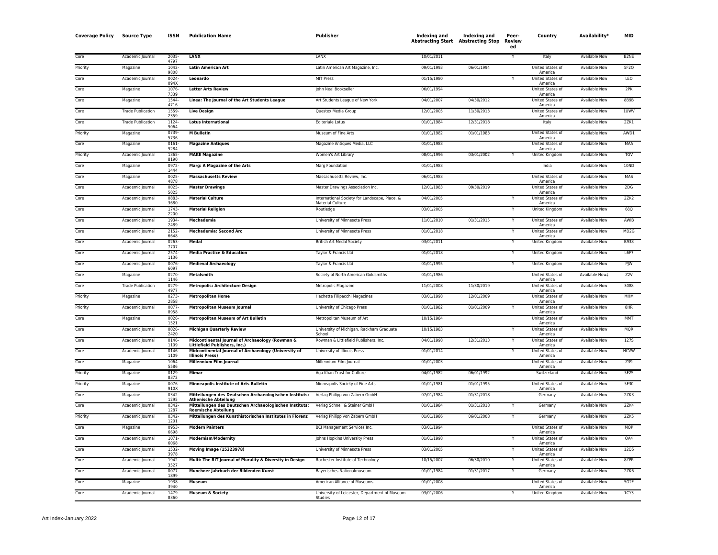| <b>Coverage Policy</b> | <b>Source Type</b>       | ISSN             | <b>Publication Name</b>                                                               | Publisher                                                                | Indexing and<br><b>Abstracting Start Abstracting Stop</b> | Indexing and | Peer-<br>Review<br>ed | Country                            | Availability*        | MID               |
|------------------------|--------------------------|------------------|---------------------------------------------------------------------------------------|--------------------------------------------------------------------------|-----------------------------------------------------------|--------------|-----------------------|------------------------------------|----------------------|-------------------|
| Core                   | Academic Journal         | 2035<br>4797     | <b>LANX</b>                                                                           | LANX                                                                     | 10/01/2011                                                |              | Y                     | Italy                              | Available Now        | B <sub>2</sub> NE |
| Priority               | Magazine                 | 1042<br>9808     | <b>Latin American Art</b>                                                             | Latin American Art Magazine, Inc.                                        | 09/01/1993                                                | 06/01/1994   |                       | United States of<br>America        | Available Now        | 5F <sub>2Q</sub>  |
| Core                   | Academic Journal         | 0024<br>094X     | Leonardo                                                                              | <b>MIT Press</b>                                                         | 01/15/1980                                                |              |                       | United States of<br>America        | <b>Available Now</b> | LEO               |
| Core                   | Magazine                 | 1076<br>7339     | <b>Letter Arts Review</b>                                                             | John Neal Bookseller                                                     | 06/01/1994                                                |              |                       | United States of<br>America        | <b>Available Now</b> | 2PK               |
| Core                   | Magazine                 | 1544-<br>4716    | Linea: The Journal of the Art Students League                                         | Art Students League of New York                                          | 04/01/2007                                                | 04/30/2012   |                       | United States of<br>America        | <b>Available Now</b> | <b>8B9B</b>       |
| Core                   | <b>Trade Publication</b> | 1559<br>2359     | <b>Live Design</b>                                                                    | Questex Media Group                                                      | 12/01/2005                                                | 11/30/2013   |                       | <b>United States of</b><br>America | <b>Available Now</b> | 1UWV              |
| Core                   | <b>Trade Publication</b> | 1124-<br>9064    | <b>Lotus International</b>                                                            | Editoriale Lotus                                                         | 01/01/1984                                                | 12/31/2018   |                       | Italy                              | Available Now        | 2ZK1              |
| Priority               | Magazine                 | 0739<br>5736     | <b>M</b> Bulletin                                                                     | Museum of Fine Arts                                                      | 01/01/1982                                                | 01/01/1983   |                       | United States of<br>America        | Available Now        | AWD1              |
| Core                   | Magazine                 | 0161-<br>9284    | <b>Magazine Antiques</b>                                                              | Magazine Antiques Media, LLC                                             | 01/01/1983                                                |              |                       | United States of<br>America        | Available Now        | <b>MAA</b>        |
| Priority               | Academic Journal         | 1365<br>8190     | <b>MAKE Magazine</b>                                                                  | Women's Art Library                                                      | 08/01/1996                                                | 03/01/2002   |                       | United Kingdom                     | Available Now        | TGV               |
| Core                   | Magazine                 | 0972-<br>1444    | Marg: A Magazine of the Arts                                                          | Marg Foundation                                                          | 01/01/1983                                                |              |                       | India                              | Available Now        | 10ND              |
| Core                   | Magazine                 | $0025 -$<br>4878 | <b>Massachusetts Review</b>                                                           | Massachusetts Review, Inc.                                               | 06/01/1983                                                |              |                       | United States of<br>America        | Available Now        | MAS               |
| Core                   | Academic Journal         | 0025<br>5025     | <b>Master Drawings</b>                                                                | Master Drawings Association Inc.                                         | 12/01/1983                                                | 09/30/2019   |                       | United States of<br>America        | Available Now        | 2DG               |
| Core                   | Academic Journal         | 0883<br>3680     | <b>Material Culture</b>                                                               | International Society for Landscape, Place, &<br><b>Material Culture</b> | 04/01/2005                                                |              |                       | <b>United States of</b><br>America | <b>Available Now</b> | 2ZK2              |
| Core                   | Academic Journal         | 1743<br>2200     | <b>Material Religion</b>                                                              | Routledge                                                                | 03/01/2005                                                |              |                       | <b>United Kingdom</b>              | Available Now        | 68Q               |
| Core                   | Academic Journal         | 1934<br>2489     | Mechademia                                                                            | University of Minnesota Press                                            | 11/01/2010                                                | 01/31/2015   |                       | United States of<br>America        | <b>Available Now</b> | <b>AWIB</b>       |
| Core                   | Academic Journal         | 2152<br>6648     | <b>Mechademia: Second Arc</b>                                                         | University of Minnesota Press                                            | 01/01/2018                                                |              |                       | United States of<br>America        | Available Now        | MD <sub>2G</sub>  |
| Core                   | Academic Journal         | $0263 -$<br>7707 | Medal                                                                                 | <b>British Art Medal Society</b>                                         | 03/01/2011                                                |              |                       | United Kingdom                     | <b>Available Now</b> | <b>B938</b>       |
| Core                   | Academic Journal         | 2574-<br>1136    | <b>Media Practice &amp; Education</b>                                                 | Taylor & Francis Ltd                                                     | 01/01/2018                                                |              |                       | <b>United Kingdom</b>              | Available Now        | L6F7              |
| Core                   | Academic Journal         | 0076<br>6097     | <b>Medieval Archaeology</b>                                                           | Taylor & Francis Ltd                                                     | 01/01/1995                                                |              |                       | United Kingdom                     | Available Now        | PJW               |
| Core                   | Magazine                 | 0270-<br>1146    | Metalsmith                                                                            | Society of North American Goldsmiths                                     | 01/01/1986                                                |              |                       | United States of<br>America        | Available Now‡       | <b>72V</b>        |
| Core                   | <b>Trade Publication</b> | 0279<br>4977     | <b>Metropolis: Architecture Design</b>                                                | Metropolis Magazine                                                      | 11/01/2008                                                | 11/30/2019   |                       | United States of<br>America        | <b>Available Now</b> | 3088              |
| Priority               | Magazine                 | 0273-<br>2858    | <b>Metropolitan Home</b>                                                              | Hachette Filipacchi Magazines                                            | 03/01/1998                                                | 12/01/2009   |                       | <b>United States of</b><br>America | Available Now        | MHM               |
| Priority               | Academic Journal         | 0077<br>8958     | <b>Metropolitan Museum Journal</b>                                                    | University of Chicago Press                                              | 01/01/1982                                                | 01/01/2009   |                       | United States of<br>America        | <b>Available Now</b> | 8HR               |
| Core                   | Magazine                 | 0026<br>1521     | <b>Metropolitan Museum of Art Bulletin</b>                                            | Metropolitan Museum of Art                                               | 10/15/1984                                                |              |                       | United States of<br>America        | <b>Available Now</b> | <b>MMT</b>        |
| Core                   | Academic Journal         | 0026<br>2420     | <b>Michigan Quarterly Review</b>                                                      | University of Michigan, Rackham Graduate<br>School                       | 10/15/1983                                                |              |                       | <b>United States of</b><br>America | <b>Available Now</b> | <b>MQR</b>        |
| Core                   | Academic Iourna          | 0146<br>1109     | Midcontinental Journal of Archaeology (Rowman &<br>Littlefield Publishers, Inc.)      | Rowman & Littlefield Publishers, Inc.                                    | 04/01/1998                                                | 12/31/2013   |                       | <b>United States of</b><br>America | <b>Available Now</b> | 127S              |
| Core                   | Academic Journal         | 0146<br>1109     | Midcontinental Journal of Archaeology (University of<br><b>Illinois Press)</b>        | University of Illinois Press                                             | 01/01/2014                                                |              |                       | United States of<br>America        | <b>Available Now</b> | <b>HCVW</b>       |
| Core                   | Magazine                 | 1064<br>5586     | Millennium Film Journal                                                               | Millennium Film Journal                                                  | 01/01/2003                                                |              |                       | United States of<br>America        | <b>Available Now</b> | Z39               |
| Priority               | Magazine                 | 0129<br>8372     | Mimar                                                                                 | Aga Khan Trust for Culture                                               | 04/01/1982                                                | 06/01/1992   |                       | Switzerland                        | <b>Available Now</b> | 5F <sub>2</sub> S |
| Priority               | Magazine                 | 0076<br>910X     | Minneapolis Institute of Arts Bulletin                                                | Minneapolis Society of Fine Arts                                         | 01/01/1981                                                | 01/01/1995   |                       | United States of<br>America        | <b>Available Now</b> | 5F30              |
| Core                   | Magazine                 | 0342-<br>1295    | Mitteilungen des Deutschen Archaeologischen Instituts:<br><b>Athenische Abteilung</b> | Verlag Philipp von Zabern GmbH                                           | 07/01/1984                                                | 01/31/2018   |                       | Germany                            | <b>Available Now</b> | 2ZK3              |
| Core                   | Academic Journal         | 0342<br>1287     | Mitteilungen des Deutschen Archaeologischen Instituts:<br><b>Roemische Abteilung</b>  | Verlag Schnell & Steiner GmbH                                            | 01/01/1984                                                | 01/31/2018   |                       | Germany                            | <b>Available Now</b> | 2ZK4              |
| Priority               | Academic Journal         | 0342<br>1201     | Mitteilungen des Kunsthistorischen Institutes in Florenz                              | Verlag Philipp von Zabern GmbH                                           | 01/01/1986                                                | 06/01/2008   | Y                     | Germany                            | <b>Available Now</b> | 2ZK5              |
| Core                   | Magazine                 | 0953<br>6698     | <b>Modern Painters</b>                                                                | <b>BCI Management Services Inc.</b>                                      | 03/01/1994                                                |              |                       | United States of<br>America        | <b>Available Now</b> | MOP               |
| Core                   | Academic Journal         | 1071<br>6068     | <b>Modernism/Modernity</b>                                                            | Johns Hopkins University Press                                           | 01/01/1998                                                |              |                       | United States of<br>America        | <b>Available Now</b> | OA4               |
| Core                   | Academic Journal         | 1532<br>3978     | <b>Moving Image (15323978)</b>                                                        | University of Minnesota Press                                            | 03/01/2005                                                |              |                       | United States of<br>America        | Available Now        | <b>12Q5</b>       |
| Core                   | Academic Journal         | 1942<br>3527     | Multi: The RIT Journal of Plurality & Diversity in Design                             | Rochester Institute of Technology                                        | 10/15/2007                                                | 06/30/2010   |                       | <b>United States of</b><br>America | <b>Available Now</b> | 8ZPR              |
| Core                   | Academic Journal         | 0077<br>1899     | Munchner Jahrbuch der Bildenden Kunst                                                 | Bayerisches Nationalmuseum                                               | 01/01/1984                                                | 01/31/2017   |                       | Germany                            | <b>Available Now</b> | 2ZK6              |
| Core                   | Magazine                 | 1938<br>3940     | Museum                                                                                | American Alliance of Museums                                             | 01/01/2008                                                |              |                       | United States of<br>America        | <b>Available Now</b> | 5G2F              |
| Core                   | Academic Journal         | 1479<br>8360     | <b>Museum &amp; Society</b>                                                           | University of Leicester, Department of Museum<br>Studies                 | 03/01/2006                                                |              |                       | <b>United Kingdom</b>              | <b>Available Now</b> | 1CY3              |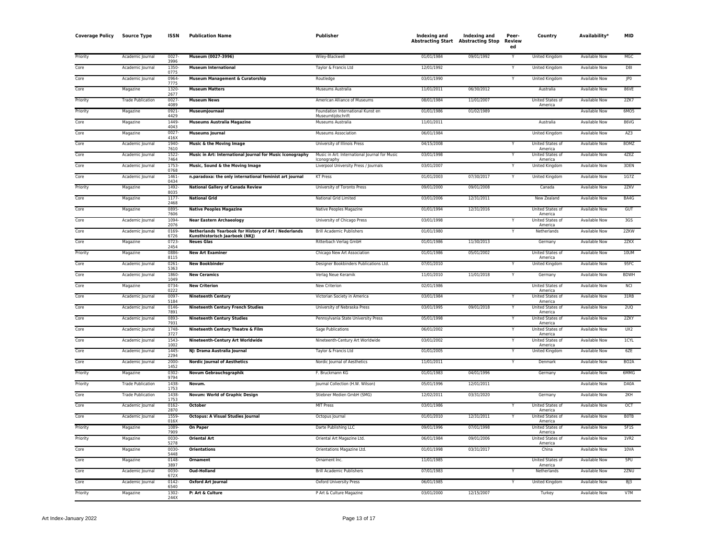| <b>Coverage Policy</b> | <b>Source Type</b>                   | <b>ISSN</b>      | <b>Publication Name</b>                                   | Publisher                                            | Indexing and<br><b>Abstracting Start Abstracting Stop</b> | <b>Indexing and</b> | Peer-<br>Review<br>ed | Country                            | Availability*        | <b>MID</b>        |
|------------------------|--------------------------------------|------------------|-----------------------------------------------------------|------------------------------------------------------|-----------------------------------------------------------|---------------------|-----------------------|------------------------------------|----------------------|-------------------|
| Priority               | Academic Journal                     | $0027 -$         | Museum (0027-3996)                                        | Wiley-Blackwell                                      | 01/01/1984                                                | 09/01/1992          | Y                     | <b>United Kingdom</b>              | <b>Available Now</b> | MGC               |
| Core                   | Academic Journal                     | 3996<br>1350     | <b>Museum International</b>                               | Taylor & Francis Ltd                                 | 12/01/1992                                                |                     | Ÿ                     | United Kingdom                     | Available Now        | D8I               |
| Core                   | Academic Journal                     | 0775<br>0964     | <b>Museum Management &amp; Curatorship</b>                | Routledge                                            | 03/01/1990                                                |                     | Y                     | <b>United Kingdom</b>              | <b>Available Now</b> | JP <sub>0</sub>   |
| Core                   | Magazine                             | 7775<br>1320     | <b>Museum Matters</b>                                     | Museums Australia                                    | 11/01/2011                                                | 06/30/2012          |                       | Australia                          | <b>Available Now</b> | 86VE              |
| Priority               | <b>Trade Publication</b>             | 2677<br>0027     | <b>Museum News</b>                                        | American Alliance of Museums                         | 08/01/1984                                                | 11/01/2007          |                       | United States of                   | <b>Available Now</b> | 2ZK7              |
| Priority               | Magazine                             | 4089<br>0921     | Museumjournaal                                            | Foundation International Kunst en                    | 01/01/1986                                                | 01/02/1989          |                       | America                            | <b>Available Now</b> | 6M05              |
| Core                   | Magazine                             | 4429<br>1449     | <b>Museums Australia Magazine</b>                         | Museumtiidschrift<br>Museums Australia               | 11/01/2011                                                |                     |                       | Australia                          | <b>Available Now</b> | 86VG              |
| Core                   | Magazine                             | 4043<br>$0027 -$ | <b>Museums Journal</b>                                    | Museums Association                                  | 06/01/1984                                                |                     |                       | United Kingdom                     | Available Now        | AZ3               |
| Core                   | Academic Journal                     | 416X<br>1940     | Music & the Moving Image                                  | University of Illinois Press                         | 04/15/2008                                                |                     |                       | United States of                   | Available Now        | 80MZ              |
| Core                   | Academic Journal                     | 7610<br>1522     | Music in Art: International Journal for Music Iconography | Music in Art: International Journal for Music        | 03/01/1998                                                |                     | $\checkmark$          | America<br>United States of        | <b>Available Now</b> | 4ZEZ              |
| Core                   | Academic Journal                     | 7464<br>1753     | Music, Sound & the Moving Image                           | Iconography<br>Liverpool University Press / Journals | 03/01/2007                                                |                     |                       | America<br><b>United Kingdom</b>   | <b>Available Now</b> | 3DEN              |
| Core                   | Academic Journal                     | 0768<br>1461     | n.paradoxa: the only international feminist art journal   | <b>KT Press</b>                                      | 01/01/2003                                                | 07/30/2017          | Y                     | United Kingdom                     | Available Now        | 1G7Z              |
| Priority               | Magazine                             | 0434<br>1492     | <b>National Gallery of Canada Review</b>                  | University of Toronto Press                          | 09/01/2000                                                | 09/01/2008          |                       | Canada                             | Available Now        | 2ZKV              |
| Core                   | Magazine                             | 8035<br>1177-    | <b>National Grid</b>                                      | National Grid Limited                                | 03/01/2006                                                | 12/31/2011          |                       | New Zealand                        | <b>Available Now</b> | BA4G              |
| Core                   | Magazine                             | 2468<br>0895     | <b>Native Peoples Magazine</b>                            | Native Peoples Magazine                              | 01/01/1994                                                | 12/31/2016          |                       | United States of                   | <b>Available Now</b> | GUT               |
| Core                   | Academic Journal                     | 7606<br>1094-    | <b>Near Eastern Archaeology</b>                           | University of Chicago Press                          | 03/01/1998                                                |                     |                       | America<br>United States of        | Available Now        | 3G <sub>S</sub>   |
| Core                   | Academic Journal                     | 2076<br>0169     | Netherlands Yearbook for History of Art / Nederlands      | <b>Brill Academic Publishers</b>                     | 01/01/1980                                                |                     |                       | America<br>Netherlands             | <b>Available Now</b> | 2ZKW              |
| Core                   | Magazine                             | 6726<br>0723-    | Kunsthistorisch Jaarboek (NKJ)<br><b>Neues Glas</b>       | Ritterbach Verlag GmbH                               | 01/01/1986                                                | 11/30/2013          |                       | Germany                            | Available Now        | 2ZKX              |
| Priority               | Magazine                             | 2454<br>0886     | <b>New Art Examiner</b>                                   | Chicago New Art Association                          | 01/01/1986                                                | 05/01/2002          |                       | United States of                   | Available Now        | 10UM              |
| Core                   | Academic Journal                     | 8115<br>0261-    | <b>New Bookbinder</b>                                     | Designer Bookbinders Publications Ltd.               | 07/01/2010                                                |                     |                       | America<br>United Kingdom          | Available Now        | 95FC              |
| Core                   | Academic Journal                     | 5363<br>1860     | <b>New Ceramics</b>                                       | Verlag Neue Keramik                                  | 11/01/2010                                                | 11/01/2018          | Υ                     | Germany                            | Available Now        | <b>BDWH</b>       |
| Core                   | Magazine                             | 1049<br>0734     | <b>New Criterion</b>                                      | New Criterion                                        | 02/01/1986                                                |                     |                       | United States of                   | Available Now        | NCI.              |
| Core                   | Academic Journal                     | 0222<br>$0097 -$ | <b>Nineteenth Century</b>                                 | Victorian Society in America                         | 03/01/1984                                                |                     | Υ                     | America<br>United States of        | <b>Available Now</b> | 31RB              |
| Core                   | Academic Journal                     | 5184<br>0146     | <b>Nineteenth Century French Studies</b>                  | University of Nebraska Press                         | 03/01/1995                                                | 09/01/2018          | Y                     | America<br><b>United States of</b> | Available Now        | 2UQ               |
| Core                   | Academic Journal                     | 7891<br>0893     | <b>Nineteenth Century Studies</b>                         | Pennsylvania State University Press                  | 05/01/1998                                                |                     | Ÿ                     | America<br>United States of        | <b>Available Now</b> | 2ZKY              |
| Core                   | Academic Journal                     | 7931<br>1748     | Nineteenth Century Theatre & Film                         | Sage Publications                                    | 06/01/2002                                                |                     | Υ                     | America<br>United States of        | <b>Available Now</b> | UX2               |
| Core                   | Academic Journal                     | 3727<br>1543     | Nineteenth-Century Art Worldwide                          | Nineteenth-Century Art Worldwide                     | 03/01/2002                                                |                     | Y                     | America<br><b>United States of</b> | <b>Available Now</b> | 1CYL              |
| Core                   | Academic Journal                     | 1002<br>1445     | NJ: Drama Australia Journal                               | Taylor & Francis Ltd                                 | 01/01/2005                                                |                     | Y                     | America<br>United Kingdom          | Available Now        | 6ZE               |
| Core                   | Academic Journal                     | 2294<br>2000     | <b>Nordic Journal of Aesthetics</b>                       | Nordic Journal of Aesthetics                         | 11/01/2011                                                |                     | Y                     | Denmark                            | <b>Available Now</b> | BO <sub>2</sub> A |
| Priority               |                                      | 1452             | Novum Gebrauchsgraphik                                    | F. Bruckmann KG                                      | 01/01/1983                                                | 04/01/1996          |                       | Germany                            | <b>Available Now</b> | 6MMG              |
| Priority               | Magazine<br><b>Trade Publication</b> | 0302<br>1438     | Novum.                                                    | Journal Collection (H.W. Wilson)                     | 05/01/1996                                                | 12/01/2011          |                       |                                    | Available Now        | DA0A              |
| Core                   | <b>Trade Publication</b>             | 1753<br>1438     | Novum: World of Graphic Design                            | Stiebner Medien GmbH (SMG)                           | 12/02/2011                                                | 03/31/2020          |                       | Germany                            | <b>Available Now</b> | 2KH               |
| Core                   | Academic Journal                     | 1753<br>$0162 -$ | <b>October</b>                                            | <b>MIT Press</b>                                     | 03/01/1986                                                |                     |                       | United States of                   | <b>Available Now</b> | OCT               |
| Core                   |                                      | 2870<br>1559     |                                                           |                                                      | 01/01/2010                                                | 12/31/2011          | Y                     | America<br>United States of        | <b>Available Now</b> | <b>BOTB</b>       |
|                        | Academic Journal                     | 016X             | <b>Octopus: A Visual Studies Journal</b>                  | Octopus Journal                                      |                                                           |                     |                       | America                            |                      | <b>5F1S</b>       |
| Priority               | Magazine                             | 1089<br>7909     | <b>On Paper</b>                                           | Darte Publishing LLC                                 | 09/01/1996                                                | 07/01/1998          |                       | United States of<br>America        | <b>Available Now</b> |                   |
| Priority               | Magazine                             | 0030<br>5278     | <b>Oriental Art</b>                                       | Oriental Art Magazine Ltd.                           | 06/01/1984                                                | 09/01/2006          |                       | United States of<br>America        | <b>Available Now</b> | 1VR2              |
| Core                   | Magazine                             | 0030<br>5448     | <b>Orientations</b>                                       | Orientations Magazine Ltd.                           | 01/01/1998                                                | 03/31/2017          |                       | China                              | <b>Available Now</b> | 10VA              |
| Core                   | Magazine                             | 0148<br>3897     | <b>Ornament</b>                                           | Ornament Inc.                                        | 11/01/1985                                                |                     |                       | United States of<br>America        | <b>Available Now</b> | 5PU               |
| Core                   | Academic Journal                     | 0030<br>672X     | <b>Oud-Holland</b>                                        | <b>Brill Academic Publishers</b>                     | 07/01/1983                                                |                     |                       | Netherlands                        | <b>Available Now</b> | 2ZNU              |
| Core                   | Academic Journal                     | 0142<br>6540     | <b>Oxford Art Journal</b>                                 | Oxford University Press                              | 06/01/1985                                                |                     |                       | United Kingdom                     | Available Now        | BJ3               |
| Priority               | Magazine                             | 1302<br>244X     | P: Art & Culture                                          | P Art & Culture Magazine                             | 03/01/2000                                                | 12/15/2007          |                       | Turkey                             | Available Now        | V7M               |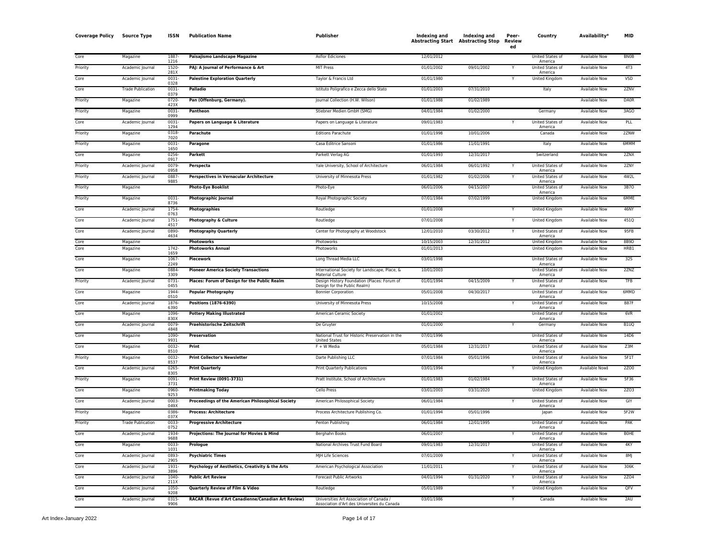| <b>Coverage Policy</b> | <b>Source Type</b>       | ISSN                 | <b>Publication Name</b>                            | Publisher                                                                               | Indexing and<br><b>Abstracting Start</b> Abstracting Stop | Indexing and | Peer-<br>Review<br>ed | Country                            | Availability*        | MID         |
|------------------------|--------------------------|----------------------|----------------------------------------------------|-----------------------------------------------------------------------------------------|-----------------------------------------------------------|--------------|-----------------------|------------------------------------|----------------------|-------------|
| Core                   | Magazine                 | 1887<br>1216         | Paisajismo Landscape Magazine                      | <b>Asflor Ediciones</b>                                                                 | 12/01/2012                                                |              |                       | United States of<br>America        | Available Now        | <b>BNOB</b> |
| Priority               | Academic Journal         | 1520<br>281X         | PAJ: A Journal of Performance & Art                | MIT Press                                                                               | 01/01/2002                                                | 09/01/2002   | Y                     | United States of<br>America        | Available Now        | 4T3         |
| Core                   | Academic Journa          | $0031 -$<br>0328     | <b>Palestine Exploration Quarterly</b>             | Taylor & Francis Ltd                                                                    | 01/01/1980                                                |              |                       | <b>United Kingdom</b>              | <b>Available Now</b> | VSD         |
| Core                   | <b>Trade Publication</b> | 0031                 | <b>Palladio</b>                                    | Istituto Poligrafico e Zecca dello Stato                                                | 01/01/2003                                                | 07/31/2010   |                       | Italy                              | <b>Available Now</b> | 2ZNV        |
| Priority               | Magazine                 | 0379<br>0720-        | Pan (Offenburg, Germany).                          | Journal Collection (H.W. Wilson)                                                        | 01/01/1988                                                | 01/02/1989   |                       |                                    | <b>Available Now</b> | <b>DA0R</b> |
| Priority               | Magazine                 | 423X<br>0031<br>0999 | Pantheon                                           | Stiebner Medien GmbH (SMG)                                                              | 04/01/1984                                                | 01/02/2000   |                       | Germany                            | <b>Available Now</b> | 3AGO        |
| Core                   | Academic Journal         | 0031-<br>1294        | Papers on Language & Literature                    | Papers on Language & Literature                                                         | 09/01/1983                                                |              |                       | United States of<br>America        | <b>Available Now</b> | PLL         |
| Priority               | Magazine                 | 0318<br>7020         | Parachute                                          | <b>Editions Parachute</b>                                                               | 01/01/1998                                                | 10/01/2006   |                       | Canada                             | Available Now        | 2ZNW        |
| Priority               | Magazine                 | 0031-<br>1650        | Paragone                                           | Casa Editrice Sansoni                                                                   | 01/01/1986                                                | 11/01/1991   |                       | Italy                              | Available Now        | 6MMM        |
| Core                   | Magazine                 | 0256<br>0917         | Parkett                                            | Parkett Verlag AG                                                                       | 01/01/1993                                                | 12/31/2017   |                       | Switzerland                        | Available Now        | 2ZNX        |
| Priority               | Academic Journal         | 0079<br>0958         | Perspecta                                          | Yale University, School of Architecture                                                 | 06/01/1984                                                | 06/01/1992   |                       | United States of<br>America        | <b>Available Now</b> | 2ZNY        |
| Priority               | Academic Journal         | 0887-<br>9885        | <b>Perspectives in Vernacular Architecture</b>     | University of Minnesota Press                                                           | 01/01/1982                                                | 01/02/2006   |                       | <b>United States of</b><br>America | <b>Available Now</b> | 4W2L        |
| Priority               | Magazine                 |                      | <b>Photo-Eye Booklist</b>                          | Photo-Eye                                                                               | 06/01/2006                                                | 04/15/2007   |                       | United States of<br>America        | <b>Available Now</b> | 3B70        |
| Priority               | Magazine                 | 0031-<br>8736        | <b>Photographic Journal</b>                        | Royal Photographic Society                                                              | 07/01/1984                                                | 07/02/1999   |                       | <b>United Kingdom</b>              | <b>Available Now</b> | 6MME        |
| Core                   | Academic Journal         | 1754<br>0763         | Photographies                                      | Routledge                                                                               | 01/01/2008                                                |              | Y                     | United Kingdom                     | <b>Available Now</b> | 46NY        |
| Core                   | Academic Journal         | 1751<br>4517         | Photography & Culture                              | Routledge                                                                               | 07/01/2008                                                |              |                       | <b>United Kingdom</b>              | <b>Available Now</b> | 451Q        |
| Core                   | Academic Journal         | 0890-<br>4634        | <b>Photography Quarterly</b>                       | Center for Photography at Woodstock                                                     | 12/01/2010                                                | 03/30/2012   | Y                     | United States of<br>America        | Available Now        | 95FB        |
| Core                   | Magazine                 |                      | <b>Photoworks</b>                                  | Photoworks                                                                              | 10/15/2003                                                | 12/31/2012   |                       | United Kingdom                     | <b>Available Now</b> | 8B9D        |
| Core                   | Magazine                 | 1742-<br>1659        | <b>Photoworks Annual</b>                           | Photoworks                                                                              | 01/01/2013                                                |              |                       | <b>United Kingdom</b>              | <b>Available Now</b> | HRB1        |
| Core                   | Magazine                 | 1067<br>2249         | <b>Piecework</b>                                   | Long Thread Media LLC                                                                   | 03/01/1998                                                |              |                       | United States of<br>America        | <b>Available Now</b> | 325         |
| Core                   | Magazine                 | 0884<br>3309         | <b>Pioneer America Society Transactions</b>        | International Society for Landscape, Place, &<br>Material Culture                       | 10/01/2003                                                |              |                       | United States of<br>America        | <b>Available Now</b> | 2ZNZ        |
| Priority               | Academic Journal         | 0731-<br>0455        | Places: Forum of Design for the Public Realm       | Design History Foundation (Places: Forum of<br>Design for the Public Realm)             | 01/01/1994                                                | 04/15/2009   |                       | United States of<br>America        | <b>Available Now</b> | <b>TFB</b>  |
| Core                   | Magazine                 | 1944-<br>0510        | <b>Popular Photography</b>                         | <b>Bonnier Corporation</b>                                                              | 05/01/2008                                                | 04/30/2017   |                       | United States of<br>America        | <b>Available Now</b> | 6MMD        |
| Core                   | Academic Journal         | 1876<br>6390         | Positions (1876-6390)                              | University of Minnesota Press                                                           | 10/15/2008                                                |              |                       | United States of<br>America        | Available Now        | <b>B87F</b> |
| Core                   | Magazine                 | 1096-<br>830X        | <b>Pottery Making Illustrated</b>                  | American Ceramic Society                                                                | 01/01/2002                                                |              |                       | United States of<br>America        | Available Now        | 6VR         |
| Core                   | Academic Journal         | 0079-<br>4848        | <b>Praehistorische Zeitschrift</b>                 | De Gruyter                                                                              | 01/01/2000                                                |              |                       | Germany                            | Available Now        | <b>B1UQ</b> |
| Core                   | Magazine                 | 1090<br>9931         | Preservation                                       | National Trust for Historic Preservation in the<br><b>United States</b>                 | 07/01/1996                                                |              |                       | United States of<br>America        | Available Now        | 14D6        |
| Core                   | Magazine                 | 0032-<br>8510        | Print                                              | $F + W$ Media                                                                           | 05/01/1984                                                | 12/31/2017   |                       | United States of<br>America        | <b>Available Now</b> | Z3M         |
| Priority               | Magazine                 | $0032 -$<br>8537     | <b>Print Collector's Newsletter</b>                | Darte Publishing LLC                                                                    | 07/01/1984                                                | 05/01/1996   |                       | <b>United States of</b><br>America | <b>Available Now</b> | 5F1T        |
| Core                   | Academic Journal         | 0265<br>8305         | <b>Print Quarterly</b>                             | <b>Print Quarterly Publications</b>                                                     | 03/01/1994                                                |              |                       | <b>United Kingdom</b>              | Available Now‡       | 2Z00        |
| Priority               | Magazine                 | 0091<br>3731         | <b>Print Review (0091-3731)</b>                    | Pratt Institute, School of Architecture                                                 | 01/01/1983                                                | 01/02/1984   |                       | United States of<br>America        | <b>Available Now</b> | 5F36        |
| Core                   | Magazine                 | 0960-<br>9253        | <b>Printmaking Today</b>                           | Cello Press                                                                             | 03/01/2003                                                | 03/31/2020   |                       | United Kingdom                     | Available Now        | <b>2Z03</b> |
| Core                   | Academic Journal         | $0003 -$<br>049X     | Proceedings of the American Philosophical Society  | American Philosophical Society                                                          | 06/01/1984                                                |              |                       | United States of<br>America        | <b>Available Now</b> | GIY         |
| Priority               | Magazine                 | 0386<br>037X         | <b>Process: Architecture</b>                       | Process Architecture Publishing Co.                                                     | 01/01/1994                                                | 05/01/1996   |                       | lapar                              | Available Now        | 5F2W        |
| Priority               | <b>Trade Publication</b> | 0033-<br>0752        | <b>Progressive Architecture</b>                    | Penton Publishing                                                                       | 06/01/1984                                                | 12/01/1995   |                       | United States of<br>America        | Available Now        | PAK         |
| Core                   | Academic Journa          | 1934<br>9688         | Projections: The Journal for Movies & Mind         | Berghahn Books                                                                          | 06/01/2007                                                |              |                       | United States of<br>America        | Available Now        | <b>BOHE</b> |
| Core                   | Magazine                 | 0033<br>1031         | Prologue                                           | National Archives Trust Fund Board                                                      | 09/01/1983                                                | 12/31/2017   |                       | <b>United States of</b><br>America | Available Now        | 4KY         |
| Core                   | Academic Journal         | 0893<br>2905         | <b>Psychiatric Times</b>                           | MJH Life Sciences                                                                       | 07/01/2009                                                |              |                       | United States of<br>America        | <b>Available Now</b> | 8MJ         |
| Core                   | Academic Journal         | 1931<br>3896         | Psychology of Aesthetics, Creativity & the Arts    | American Psychological Association                                                      | 11/01/2011                                                |              |                       | United States of<br>America        | Available Now        | 306K        |
| Core                   | Academic Journal         | 1040<br>211X         | <b>Public Art Review</b>                           | Forecast Public Artworks                                                                | 04/01/1994                                                | 01/31/2020   |                       | United States of<br>America        | <b>Available Now</b> | 2Z04        |
| Core                   | Academic Journal         | 1050-<br>9208        | Quarterly Review of Film & Video                   | Routledge                                                                               | 05/01/1989                                                |              | Y                     | <b>United Kingdom</b>              | <b>Available Now</b> | QFV         |
| Core                   | Academic Journal         | 0315<br>9906         | RACAR (Revue d'Art Canadienne/Canadian Art Review) | Universities Art Association of Canada /<br>Association d'Art des Universites du Canada | 03/01/1986                                                |              |                       | Canada                             | Available Now        | 2AU         |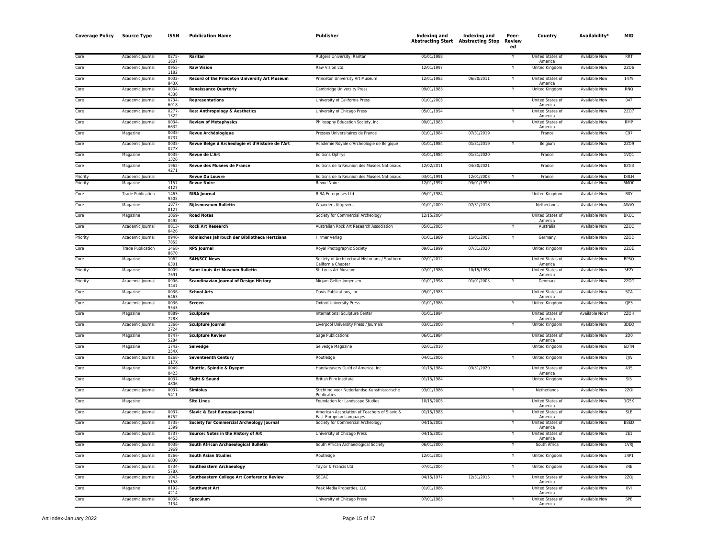| <b>Coverage Policy</b> | <b>Source Type</b>       | <b>ISSN</b>          | <b>Publication Name</b>                           | Publisher                                                               | Indexing and | Indexing and<br><b>Abstracting Start</b> Abstracting Stop | Peer-<br>Review<br>ed | Country                            | Availability <sup>*</sup> | MID              |
|------------------------|--------------------------|----------------------|---------------------------------------------------|-------------------------------------------------------------------------|--------------|-----------------------------------------------------------|-----------------------|------------------------------------|---------------------------|------------------|
| Core                   | Academic Journal         | 0275<br>1607         | Raritan                                           | Rutgers University, Raritan                                             | 01/01/1988   |                                                           |                       | United States of<br>America        | <b>Available Now</b>      | <b>RRT</b>       |
| Core                   | Academic Journal         | 0955<br>1182         | <b>Raw Vision</b>                                 | Raw Vision Ltd.                                                         | 12/01/1997   |                                                           |                       | <b>United Kingdom</b>              | Available Now             | <b>2ZO6</b>      |
| Core                   | Academic Journal         | 0032<br>843X         | Record of the Princeton University Art Museum     | Princeton University Art Museum                                         | 12/01/1983   | 06/30/2011                                                | Y                     | United States of<br>America        | <b>Available Now</b>      | 1479             |
| Core                   | Academic Journal         | 0034                 | <b>Renaissance Quarterly</b>                      | Cambridge University Press                                              | 09/01/1983   |                                                           |                       | United Kingdom                     | <b>Available Now</b>      | <b>RNQ</b>       |
| Core                   | Academic Journal         | 4338<br>0734-        | <b>Representations</b>                            | University of California Press                                          | 01/01/2003   |                                                           |                       | United States of                   | <b>Available Now</b>      | 04T              |
| Core                   | Academic Journal         | 6018<br>0277         | <b>Res: Anthropology &amp; Aesthetics</b>         | University of Chicago Press                                             | 05/01/1994   |                                                           |                       | America<br>United States of        | <b>Available Now</b>      | 2Z07             |
| Core                   | Academic Journal         | 1322<br>0034         | <b>Review of Metaphysics</b>                      | Philosophy Education Society, Inc.                                      | 09/01/1983   |                                                           |                       | America<br><b>United States of</b> | <b>Available Now</b>      | <b>RMP</b>       |
| Core                   | Magazine                 | 6632<br>0035         | <b>Revue Archéologique</b>                        | Presses Universitaires de France                                        | 01/01/1984   | 07/31/2019                                                |                       | America<br>France                  | Available Now             | C97              |
| Core                   | Academic Journal         | 0737<br>0035<br>077X | Revue Belge d'Archeologie et d'Histoire de l'Art  | Academie Royale d'Archeologie de Belgique                               | 01/01/1984   | 01/31/2019                                                |                       | Belgium                            | <b>Available Now</b>      | 2Z09             |
| Core                   | Magazine                 | 0035<br>1326         | <b>Revue de L'Art</b>                             | <b>Editions Ophrys</b>                                                  | 01/01/1984   | 01/31/2020                                                |                       | France                             | <b>Available Now</b>      | 1VQ1             |
| Core                   | Magazine                 | 1962-<br>4271        | Revue des Musées de France                        | Editions de la Reunion des Musees Nationaux                             | 12/02/2011   | 04/30/2021                                                |                       | France                             | <b>Available Now</b>      | 8ZG3             |
| Priority               | Academic Journal         |                      | <b>Revue Du Louvre</b>                            | Editions de la Reunion des Musees Nationaux                             | 03/01/1991   | 12/01/2003                                                |                       | France                             | Available Now             | D3LH             |
| Priority               | Magazine                 | 1157<br>4127         | <b>Revue Noire</b>                                | <b>Revue Noire</b>                                                      | 12/01/1997   | 03/01/1999                                                |                       |                                    | <b>Available Now</b>      | 6MO0             |
| Core                   | <b>Trade Publication</b> | 1463<br>9505         | <b>RIBA Journal</b>                               | <b>RIBA Enterprises Ltd</b>                                             | 05/01/1984   |                                                           |                       | United Kingdom                     | Available Now             | <b>BOY</b>       |
| Core                   | Magazine                 | 1877<br>8127         | <b>Rijksmuseum Bulletin</b>                       | <b>Waanders Uitgevers</b>                                               | 01/01/2009   | 07/31/2018                                                |                       | Netherlands                        | <b>Available Now</b>      | AWVY             |
| Core                   | Magazine                 | 1069<br>0492         | <b>Road Notes</b>                                 | Society for Commercial Archeology                                       | 12/15/2004   |                                                           |                       | United States of<br>America        | Available Now             | BKO1             |
| Core                   | Academic Journal         | 0813<br>0426         | <b>Rock Art Research</b>                          | Australian Rock Art Research Association                                | 05/01/2005   |                                                           |                       | Australia                          | Available Now             | 2ZOC             |
| Priority               | Academic Journal         | 0940<br>7855         | Römisches Jahrbuch der Bibliotheca Hertziana      | Hirmer Verlag                                                           | 01/01/1989   | 11/01/2007                                                |                       | Germany                            | Available Now             | 2ZOD             |
| Core                   | <b>Trade Publication</b> | 1468<br>8670         | <b>RPS Journal</b>                                | Royal Photographic Society                                              | 09/01/1999   | 07/31/2020                                                |                       | <b>United Kingdom</b>              | <b>Available Now</b>      | 2ZOE             |
| Core                   | Magazine                 | $1062 -$<br>6301     | <b>SAH/SCC News</b>                               | Society of Architectural Historians / Southern<br>California Chapter    | 02/01/2012   |                                                           |                       | United States of<br>America        | <b>Available Now</b>      | BP <sub>50</sub> |
| Priority               | Magazine                 | 0009<br>7691         | <b>Saint Louis Art Museum Bulletin</b>            | St. Louis Art Museum                                                    | 07/01/1986   | 10/15/1998                                                |                       | United States of<br>America        | <b>Available Now</b>      | 5F2Y             |
| Priority               | Academic Journal         | 0906<br>3447         | <b>Scandinavian Journal of Design History</b>     | Mirjam Gelfer-Jorgensen                                                 | 01/01/1998   | 01/01/2005                                                |                       | Denmark                            | <b>Available Now</b>      | 2Z0G             |
| Core                   | Magazine                 | 0036<br>6463         | <b>School Arts</b>                                | Davis Publications, Inc.                                                | 09/01/1983   |                                                           |                       | United States of<br>America        | <b>Available Now</b>      | <b>SCA</b>       |
| Core                   | Academic Journal         | 0036<br>9543         | Screen                                            | <b>Oxford University Press</b>                                          | 01/01/1986   |                                                           |                       | United Kingdom                     | Available Now             | QE3              |
| Core                   | Magazine                 | 0889<br>728X         | <b>Sculpture</b>                                  | International Sculpture Center                                          | 01/01/1994   |                                                           |                       | United States of<br>America        | Available Now‡            | 2ZOH             |
| Core                   | Academic Journal         | 1366<br>2724         | <b>Sculpture Journal</b>                          | Liverpool University Press / Journals                                   | 03/01/2008   |                                                           |                       | United Kingdom                     | Available Now             | 3DEO             |
| Core                   | Magazine                 | 0747<br>5284         | <b>Sculpture Review</b>                           | Sage Publications                                                       | 06/01/1984   |                                                           |                       | <b>United States of</b><br>America | Available Now             | 2D0              |
| Core                   | Magazine                 | 1742-<br>254         | Selvedge                                          | Selvedge Magazine                                                       | 02/01/2010   |                                                           |                       | United Kingdom                     | Available Now             | 6DTN             |
| Core                   | Academic Journal         | 0268<br>117          | <b>Seventeenth Century</b>                        | Routledge                                                               | 04/01/2006   |                                                           | Y                     | United Kingdom                     | Available Now             | 7JW              |
| Core                   | Magazine                 | 0049<br>0423         | Shuttle, Spindle & Dyepot                         | Handweavers Guild of America, Inc.                                      | 01/15/1984   | 03/31/2020                                                |                       | <b>United States of</b><br>America | <b>Available Now</b>      | A3S              |
| Core                   | Magazine                 | 0037<br>4806         | Sight & Sound                                     | British Film Institute                                                  | 01/15/1984   |                                                           |                       | <b>United Kingdom</b>              | <b>Available Now</b>      | <b>SIS</b>       |
| Core                   | Academic Journal         | 0037<br>5411         | <b>Simiolus</b>                                   | Stichting voor Nederlandse Kunsthistorische<br>Publicaties              | 03/01/1986   |                                                           | Y                     | Netherlands                        | <b>Available Now</b>      | <b>2ZOI</b>      |
| Core                   | Magazine                 |                      | <b>Site Lines</b>                                 | Foundation for Landscape Studies                                        | 10/15/2005   |                                                           |                       | United States of<br>America        | <b>Available Now</b>      | 1G5K             |
| Core                   | Academic Journal         | 0037<br>6752         | Slavic & East European Journal                    | American Association of Teachers of Slavic &<br>East European Languages | 01/15/1983   |                                                           |                       | United States of<br>America        | Available Now             | <b>SLE</b>       |
| Core                   | Academic Journal         | 0735<br>1399         | <b>Society for Commercial Archeology Journal</b>  | Society for Commercial Archeology                                       | 04/15/2002   |                                                           | $\checkmark$          | United States of<br>America        | <b>Available Now</b>      | B8ED             |
| Core                   | Academic Journal         | 0737<br>4453         | Source: Notes in the History of Art               | University of Chicago Press                                             | 04/15/2003   |                                                           |                       | United States of<br>America        | Available Now             | <b>2E1</b>       |
| Core                   | Academic Journal         | 0038-<br>1969        | South African Archaeological Bulletin             | South African Archaeological Society                                    | 06/01/2000   |                                                           | $\mathsf{v}$          | South Africa                       | Available Now             | 1VRJ             |
| Core                   | Academic Journal         | 0266<br>6030         | <b>South Asian Studies</b>                        | Routledge                                                               | 12/01/2005   |                                                           |                       | United Kingdom                     | Available Now             | 24P1             |
| Core                   | Academic Journal         | 0734-<br>578>        | Southeastern Archaeology                          | Taylor & Francis Ltd                                                    | 07/01/2004   |                                                           |                       | United Kingdom                     | <b>Available Now</b>      | 34E              |
| Core                   | Academic Journal         | 1043<br>5158         | <b>Southeastern College Art Conference Review</b> | <b>SECAC</b>                                                            | 04/15/1977   | 12/31/2015                                                |                       | United States of<br>America        | <b>Available Now</b>      | 2ZO              |
| Core                   | Magazine                 | 0192<br>4214         | <b>Southwest Art</b>                              | Peak Media Properties, LLC                                              | 01/01/1986   |                                                           |                       | <b>United States of</b><br>America | <b>Available Now</b>      | 0VI              |
| Core                   | Academic Journal         | 0038-<br>7134        | Speculum                                          | University of Chicago Press                                             | 07/01/1983   |                                                           |                       | United States of<br>America        | <b>Available Now</b>      | SPE              |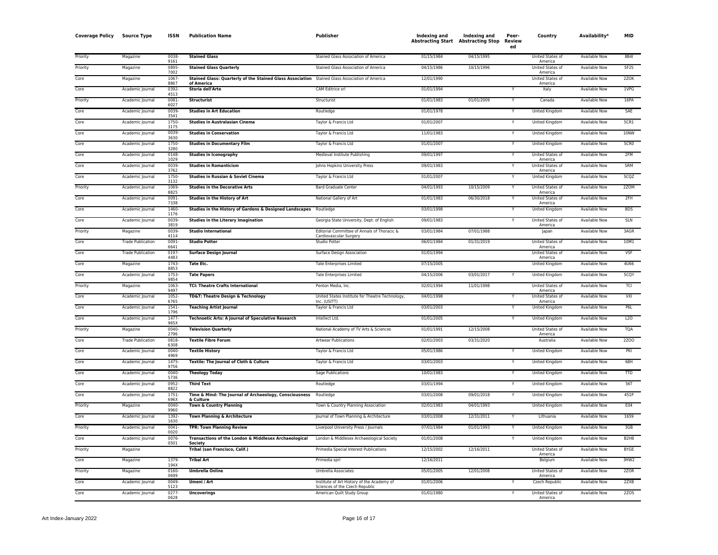| <b>Coverage Policy</b> | <b>Source Type</b>       | ISSN          | <b>Publication Name</b>                                                                                      | Publisher                                                                    | Indexing and | <b>Indexing and</b><br><b>Abstracting Start Abstracting Stop</b> | Peer-<br>Review<br>ed | Country                            | Availability*        | MID                           |
|------------------------|--------------------------|---------------|--------------------------------------------------------------------------------------------------------------|------------------------------------------------------------------------------|--------------|------------------------------------------------------------------|-----------------------|------------------------------------|----------------------|-------------------------------|
| Priority               | Magazine                 | 0038<br>9161  | <b>Stained Glass</b>                                                                                         | Stained Glass Association of America                                         | 01/15/1984   | 04/15/1995                                                       |                       | <b>United States of</b><br>America | <b>Available Now</b> | 8B4I                          |
| Priority               | Magazine                 | 0895<br>7002  | <b>Stained Glass Quarterly</b>                                                                               | Stained Glass Association of America                                         | 04/15/1986   | 10/15/1996                                                       |                       | United States of<br>America        | <b>Available Now</b> | 5F25                          |
| Core                   | Magazine                 | 1067<br>8867  | Stained Glass: Quarterly of the Stained Glass Association Stained Glass Association of America<br>of America |                                                                              | 12/01/1990   |                                                                  |                       | United States of<br>America        | <b>Available Now</b> | 2ZOK                          |
| Core                   | Academic Journal         | 0392<br>4513  | Storia dell'Arte                                                                                             | CAM Editrice srl                                                             | 01/01/1994   |                                                                  |                       | Italy                              | <b>Available Now</b> | 1VPG                          |
| Priority               | Academic Journal         | 0081<br>6027  | <b>Structurist</b>                                                                                           | Structurist                                                                  | 01/01/1983   | 01/01/2009                                                       |                       | Canada                             | <b>Available Now</b> | 16PA                          |
| Core                   | Academic Journal         | 0039<br>3541  | <b>Studies in Art Education</b>                                                                              | Routledge                                                                    | 01/01/1978   |                                                                  |                       | <b>United Kingdom</b>              | <b>Available Now</b> | SAE                           |
| Core                   | Academic Journal         | 1750<br>3175  | <b>Studies in Australasian Cinema</b>                                                                        | Taylor & Francis Ltd                                                         | 01/01/2007   |                                                                  |                       | <b>United Kingdom</b>              | <b>Available Now</b> | 5CR1                          |
| Core                   | Academic Journal         | 0039<br>3630  | <b>Studies in Conservation</b>                                                                               | Taylor & Francis Ltd                                                         | 11/01/1983   |                                                                  | Y                     | <b>United Kingdom</b>              | <b>Available Now</b> | 10NW                          |
| Core                   | Academic Journal         | 1750<br>3280  | <b>Studies in Documentary Film</b>                                                                           | Taylor & Francis Ltd                                                         | 01/01/2007   |                                                                  | Y                     | United Kingdom                     | <b>Available Now</b> | 5CR <sub>0</sub>              |
| Core                   | Academic Journal         | 0148<br>1029  | <b>Studies in Iconography</b>                                                                                | Medieval Institute Publishing                                                | 09/01/1997   |                                                                  | Y                     | <b>United States of</b><br>America | <b>Available Now</b> | 2FM                           |
| Core                   | Academic Journal         | 0039<br>3762  | <b>Studies in Romanticism</b>                                                                                | Johns Hopkins University Press                                               | 09/01/1983   |                                                                  |                       | <b>United States of</b><br>America | <b>Available Now</b> | SRM                           |
| Core                   | Academic Journal         | 1750<br>3132  | Studies in Russian & Soviet Cinema                                                                           | Taylor & Francis Ltd                                                         | 01/01/2007   |                                                                  |                       | United Kingdom                     | Available Now        | 5CQZ                          |
| Priority               | Academic Journal         | 1069<br>8825  | <b>Studies in the Decorative Arts</b>                                                                        | <b>Bard Graduate Center</b>                                                  | 04/01/1993   | 10/15/2009                                                       | Y                     | United States of<br>America        | Available Now        | 2ZOM                          |
| Core                   | Academic Journal         | 0091<br>7338  | <b>Studies in the History of Art</b>                                                                         | National Gallery of Art                                                      | 01/01/1983   | 06/30/2018                                                       |                       | <b>United States of</b><br>America | <b>Available Now</b> | 2FH                           |
| Core                   | Academic Journal         | 1460<br>1176  | Studies in the History of Gardens & Designed Landscapes Routledge                                            |                                                                              | 03/01/1998   |                                                                  |                       | United Kingdom                     | <b>Available Now</b> | <b>BDS</b>                    |
| Core                   | Academic Journal         | 0039<br>3819  | <b>Studies in the Literary Imagination</b>                                                                   | Georgia State University, Dept. of English                                   | 09/01/1983   |                                                                  |                       | United States of<br>America        | <b>Available Now</b> | <b>SLN</b>                    |
| Priority               | Magazine                 | 0039<br>4114  | <b>Studio International</b>                                                                                  | Editorial Committee of Annals of Thoracic &<br>Cardiovascular Surgery        | 03/01/1984   | 07/01/1988                                                       |                       | Japan                              | Available Now        | 3AGR                          |
| Core                   | <b>Trade Publication</b> | 0091<br>6641  | <b>Studio Potter</b>                                                                                         | <b>Studio Potter</b>                                                         | 06/01/1984   | 01/31/2019                                                       |                       | United States of<br>America        | Available Now        | 10M1                          |
| Core                   | <b>Trade Publication</b> | 0197<br>4483  | <b>Surface Design Journal</b>                                                                                | Surface Design Association                                                   | 01/01/1994   |                                                                  |                       | United States of<br>America        | Available Now        | <b>VSF</b>                    |
| Core                   | Magazine                 | 1743<br>8853  | <b>Tate Etc.</b>                                                                                             | <b>Tate Enterprises Limited</b>                                              | 07/15/2005   |                                                                  |                       | United Kingdom                     | Available Now        | 4U66                          |
| Core                   | Academic Journal         | 1753<br>9854  | <b>Tate Papers</b>                                                                                           | <b>Tate Enterprises Limited</b>                                              | 04/15/2006   | 03/01/2017                                                       | $\checkmark$          | <b>United Kingdom</b>              | <b>Available Now</b> | 5CQY                          |
| Priority               | Magazine                 | 1063<br>9497  | <b>TCI: Theatre Crafts International</b>                                                                     | Penton Media, Inc.                                                           | 02/01/1994   | 11/01/1998                                                       |                       | United States of<br>America        | <b>Available Now</b> | TCI                           |
| Core                   | Academic Journal         | 1052<br>6765  | <b>TD&amp;T: Theatre Design &amp; Technology</b>                                                             | United States Institute for Theatre Technology,<br>Inc. (USITT)              | 04/01/1998   |                                                                  |                       | United States of<br>America        | <b>Available Now</b> | VXI                           |
| Core                   | Academic Journal         | 1541<br>1796  | <b>Teaching Artist Journal</b>                                                                               | Taylor & Francis Ltd                                                         | 03/01/2003   |                                                                  |                       | United Kingdom                     | <b>Available Now</b> | P6L                           |
| Core                   | Academic Journal         | 1477<br>965X  | <b>Technoetic Arts: A Journal of Speculative Research</b>                                                    | Intellect Ltd.                                                               | 01/01/2005   |                                                                  | Y                     | United Kingdom                     | <b>Available Now</b> | L20                           |
| Priority               | Magazine                 | 0040<br>2796  | <b>Television Quarterly</b>                                                                                  | National Academy of TV Arts & Sciences                                       | 01/01/1991   | 12/15/2008                                                       |                       | United States of<br>America        | <b>Available Now</b> | <b>TQA</b>                    |
| Core                   | <b>Trade Publication</b> | 0818<br>6308  | <b>Textile Fibre Forum</b>                                                                                   | <b>Artwear Publications</b>                                                  | 02/01/2003   | 03/31/2020                                                       |                       | Australia                          | <b>Available Now</b> | <b>2Z00</b>                   |
| Core                   | Academic Journal         | 0040<br>4969  | <b>Textile History</b>                                                                                       | Taylor & Francis Ltd                                                         | 05/01/1986   |                                                                  |                       | <b>United Kingdom</b>              | <b>Available Now</b> | PKI                           |
| Core                   | Academic Journal         | 1475<br>9756  | Textile: The Journal of Cloth & Culture                                                                      | Taylor & Francis Ltd                                                         | 03/01/2003   |                                                                  |                       | United Kingdom                     | Available Now        | 68H                           |
| Core                   | Academic Journal         | 0040<br>5736  | <b>Theology Today</b>                                                                                        | Sage Publications                                                            | 10/01/1983   |                                                                  |                       | United Kingdom                     | Available Now        | <b>TTD</b>                    |
| Core                   | Academic Journal         | 0952-<br>8822 | <b>Third Text</b>                                                                                            | Routledge                                                                    | 03/01/1994   |                                                                  | Y                     | United Kingdom                     | Available Now        | 56T                           |
| Core                   | Academic Journal         | 1751<br>696X  | Time & Mind: The Journal of Archaeology, Consciousness<br>& Culture                                          | Routledge                                                                    | 03/01/2008   | 09/01/2018                                                       |                       | United Kingdom                     | Available Now        | 451P                          |
| Priority               | Magazine                 | 0040-<br>9960 | Town & Country Planning                                                                                      | Town & Country Planning Association                                          | 02/01/1983   | 04/01/1993                                                       |                       | United Kingdom                     | Available Now        | E04                           |
| Core                   | Academic Journal         | 1392<br>1630  | Town Planning & Architecture                                                                                 | Journal of Town Planning & Architecture                                      | 03/01/2008   | 12/31/2011                                                       |                       | Lithuania                          | Available Now        | 1659                          |
| Priority               | Academic Journal         | 0041-<br>0020 | <b>TPR: Town Planning Review</b>                                                                             | Liverpool University Press / Journals                                        | 07/01/1984   | 01/01/1993                                                       | Y                     | United Kingdom                     | Available Now        | 3GB                           |
| Core                   | Academic Journal         | 0076<br>0501  | Transactions of the London & Middlesex Archaeological<br>Society                                             | London & Middlesex Archaeological Society                                    | 01/01/2008   |                                                                  |                       | United Kingdom                     | Available Now        | B <sub>2</sub> H <sub>8</sub> |
| Priority               | Magazine                 |               | Tribal (san Francisco, Calif.)                                                                               | Primedia Special Interest Publications                                       | 12/15/2002   | 12/16/2011                                                       |                       | United States of<br>America        | <b>Available Now</b> | <b>BYGE</b>                   |
| Core                   | Magazine                 | 1379<br>194X  | <b>Tribal Art</b>                                                                                            | Primedia sprl                                                                | 12/16/2011   |                                                                  |                       | Belgium                            | <b>Available Now</b> | 3HW <sub>2</sub>              |
| Priority               | Magazine                 | 0160<br>0699  | <b>Umbrella Online</b>                                                                                       | Umbrella Associates                                                          | 05/01/2005   | 12/01/2008                                                       |                       | United States of<br>America        | <b>Available Now</b> | 270R                          |
| Core                   | Academic Journal         | 0049<br>5123  | Umeni / Art                                                                                                  | Institute of Art History of the Academy of<br>Sciences of the Czech Republic | 01/01/2006   |                                                                  |                       | Czech Republic                     | <b>Available Now</b> | 2ZXB                          |
| Core                   | Academic Journal         | 0277-<br>0628 | <b>Uncoverings</b>                                                                                           | American Quilt Study Group                                                   | 01/01/1980   |                                                                  |                       | United States of<br>America        | <b>Available Now</b> | <b>2ZOS</b>                   |